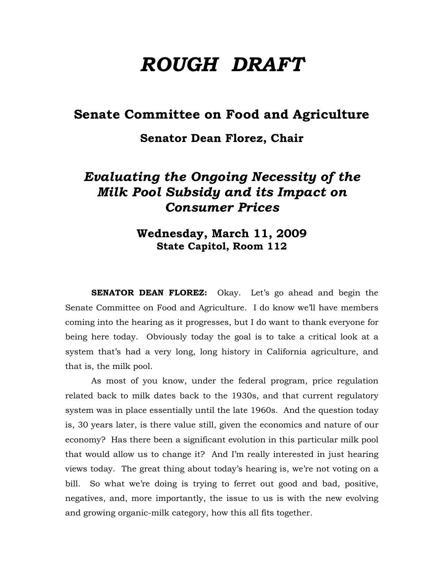# *ROUGH DRAFT*

### **Senate Committee on Food and Agriculture**

### **Senator Dean Florez, Chair**

## *Evaluating the Ongoing Necessity of the Milk Pool Subsidy and its Impact on Consumer Prices*

### **Wednesday, March 11, 2009 State Capitol, Room 112**

**SENATOR DEAN FLOREZ:** Okay. Let's go ahead and begin the Senate Committee on Food and Agriculture. I do know we'll have members coming into the hearing as it progresses, but I do want to thank everyone for being here today. Obviously today the goal is to take a critical look at a system that's had a very long, long history in California agriculture, and that is, the milk pool.

 As most of you know, under the federal program, price regulation related back to milk dates back to the 1930s, and that current regulatory system was in place essentially until the late 1960s. And the question today is, 30 years later, is there value still, given the economics and nature of our economy? Has there been a significant evolution in this particular milk pool that would allow us to change it? And I'm really interested in just hearing views today. The great thing about today's hearing is, we're not voting on a bill. So what we're doing is trying to ferret out good and bad, positive, negatives, and, more importantly, the issue to us is with the new evolving and growing organic-milk category, how this all fits together.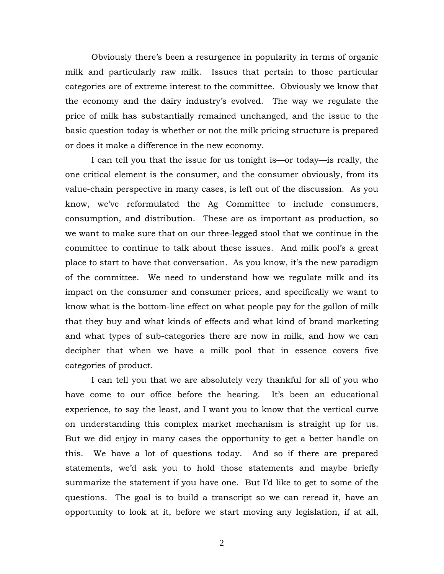Obviously there's been a resurgence in popularity in terms of organic milk and particularly raw milk. Issues that pertain to those particular categories are of extreme interest to the committee. Obviously we know that the economy and the dairy industry's evolved. The way we regulate the price of milk has substantially remained unchanged, and the issue to the basic question today is whether or not the milk pricing structure is prepared or does it make a difference in the new economy.

I can tell you that the issue for us tonight is—or today—is really, the one critical element is the consumer, and the consumer obviously, from its value-chain perspective in many cases, is left out of the discussion. As you know, we've reformulated the Ag Committee to include consumers, consumption, and distribution. These are as important as production, so we want to make sure that on our three-legged stool that we continue in the committee to continue to talk about these issues. And milk pool's a great place to start to have that conversation. As you know, it's the new paradigm of the committee. We need to understand how we regulate milk and its impact on the consumer and consumer prices, and specifically we want to know what is the bottom-line effect on what people pay for the gallon of milk that they buy and what kinds of effects and what kind of brand marketing and what types of sub-categories there are now in milk, and how we can decipher that when we have a milk pool that in essence covers five categories of product.

I can tell you that we are absolutely very thankful for all of you who have come to our office before the hearing. It's been an educational experience, to say the least, and I want you to know that the vertical curve on understanding this complex market mechanism is straight up for us. But we did enjoy in many cases the opportunity to get a better handle on this. We have a lot of questions today. And so if there are prepared statements, we'd ask you to hold those statements and maybe briefly summarize the statement if you have one. But I'd like to get to some of the questions. The goal is to build a transcript so we can reread it, have an opportunity to look at it, before we start moving any legislation, if at all,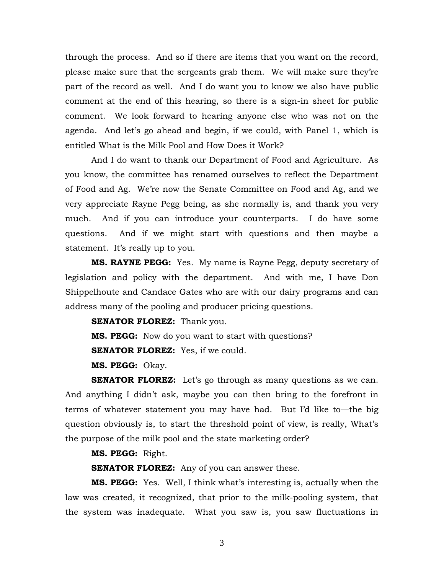through the process. And so if there are items that you want on the record, please make sure that the sergeants grab them. We will make sure they're part of the record as well. And I do want you to know we also have public comment at the end of this hearing, so there is a sign-in sheet for public comment. We look forward to hearing anyone else who was not on the agenda. And let's go ahead and begin, if we could, with Panel 1, which is entitled What is the Milk Pool and How Does it Work?

 And I do want to thank our Department of Food and Agriculture. As you know, the committee has renamed ourselves to reflect the Department of Food and Ag. We're now the Senate Committee on Food and Ag, and we very appreciate Rayne Pegg being, as she normally is, and thank you very much. And if you can introduce your counterparts. I do have some questions. And if we might start with questions and then maybe a statement. It's really up to you.

**MS. RAYNE PEGG:** Yes. My name is Rayne Pegg, deputy secretary of legislation and policy with the department. And with me, I have Don Shippelhoute and Candace Gates who are with our dairy programs and can address many of the pooling and producer pricing questions.

**SENATOR FLOREZ:** Thank you.

**MS. PEGG:** Now do you want to start with questions?

**SENATOR FLOREZ:** Yes, if we could.

**MS. PEGG:** Okay.

**SENATOR FLOREZ:** Let's go through as many questions as we can. And anything I didn't ask, maybe you can then bring to the forefront in terms of whatever statement you may have had. But I'd like to—the big question obviously is, to start the threshold point of view, is really, What's the purpose of the milk pool and the state marketing order?

#### **MS. PEGG:** Right.

**SENATOR FLOREZ:** Any of you can answer these.

**MS. PEGG:** Yes. Well, I think what's interesting is, actually when the law was created, it recognized, that prior to the milk-pooling system, that the system was inadequate. What you saw is, you saw fluctuations in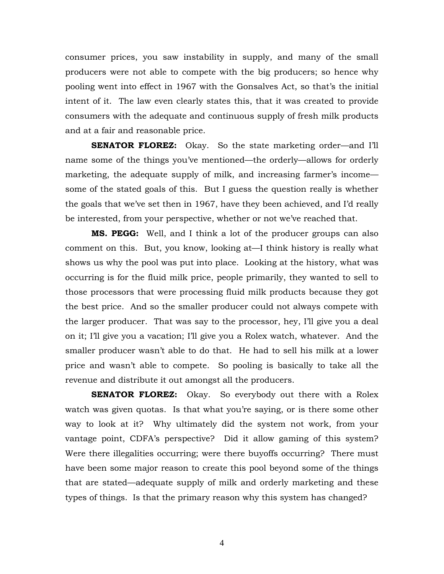consumer prices, you saw instability in supply, and many of the small producers were not able to compete with the big producers; so hence why pooling went into effect in 1967 with the Gonsalves Act, so that's the initial intent of it. The law even clearly states this, that it was created to provide consumers with the adequate and continuous supply of fresh milk products and at a fair and reasonable price.

**SENATOR FLOREZ:** Okay. So the state marketing order—and I'll name some of the things you've mentioned—the orderly—allows for orderly marketing, the adequate supply of milk, and increasing farmer's income some of the stated goals of this. But I guess the question really is whether the goals that we've set then in 1967, have they been achieved, and I'd really be interested, from your perspective, whether or not we've reached that.

**MS. PEGG:** Well, and I think a lot of the producer groups can also comment on this. But, you know, looking at—I think history is really what shows us why the pool was put into place. Looking at the history, what was occurring is for the fluid milk price, people primarily, they wanted to sell to those processors that were processing fluid milk products because they got the best price. And so the smaller producer could not always compete with the larger producer. That was say to the processor, hey, I'll give you a deal on it; I'll give you a vacation; I'll give you a Rolex watch, whatever. And the smaller producer wasn't able to do that. He had to sell his milk at a lower price and wasn't able to compete. So pooling is basically to take all the revenue and distribute it out amongst all the producers.

**SENATOR FLOREZ:** Okay. So everybody out there with a Rolex watch was given quotas. Is that what you're saying, or is there some other way to look at it? Why ultimately did the system not work, from your vantage point, CDFA's perspective? Did it allow gaming of this system? Were there illegalities occurring; were there buyoffs occurring? There must have been some major reason to create this pool beyond some of the things that are stated—adequate supply of milk and orderly marketing and these types of things. Is that the primary reason why this system has changed?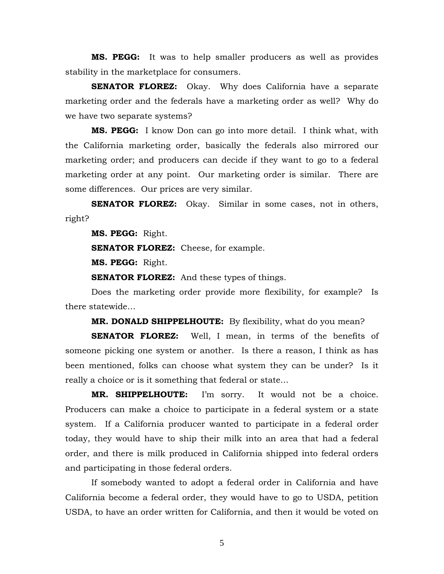**MS. PEGG:** It was to help smaller producers as well as provides stability in the marketplace for consumers.

**SENATOR FLOREZ:** Okay. Why does California have a separate marketing order and the federals have a marketing order as well? Why do we have two separate systems?

**MS. PEGG:** I know Don can go into more detail. I think what, with the California marketing order, basically the federals also mirrored our marketing order; and producers can decide if they want to go to a federal marketing order at any point. Our marketing order is similar. There are some differences. Our prices are very similar.

**SENATOR FLOREZ:** Okay. Similar in some cases, not in others, right?

**MS. PEGG:** Right.

**SENATOR FLOREZ:** Cheese, for example.

**MS. PEGG:** Right.

**SENATOR FLOREZ:** And these types of things.

 Does the marketing order provide more flexibility, for example? Is there statewide…

**MR. DONALD SHIPPELHOUTE:** By flexibility, what do you mean?

**SENATOR FLOREZ:** Well, I mean, in terms of the benefits of someone picking one system or another. Is there a reason, I think as has been mentioned, folks can choose what system they can be under? Is it really a choice or is it something that federal or state…

**MR. SHIPPELHOUTE:** I'm sorry. It would not be a choice. Producers can make a choice to participate in a federal system or a state system. If a California producer wanted to participate in a federal order today, they would have to ship their milk into an area that had a federal order, and there is milk produced in California shipped into federal orders and participating in those federal orders.

 If somebody wanted to adopt a federal order in California and have California become a federal order, they would have to go to USDA, petition USDA, to have an order written for California, and then it would be voted on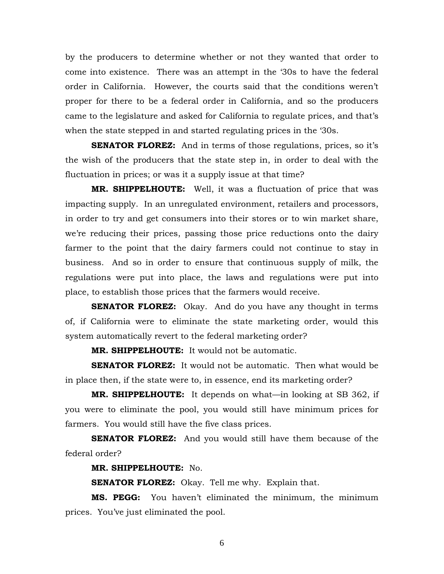by the producers to determine whether or not they wanted that order to come into existence. There was an attempt in the '30s to have the federal order in California. However, the courts said that the conditions weren't proper for there to be a federal order in California, and so the producers came to the legislature and asked for California to regulate prices, and that's when the state stepped in and started regulating prices in the '30s.

**SENATOR FLOREZ:** And in terms of those regulations, prices, so it's the wish of the producers that the state step in, in order to deal with the fluctuation in prices; or was it a supply issue at that time?

**MR. SHIPPELHOUTE:** Well, it was a fluctuation of price that was impacting supply. In an unregulated environment, retailers and processors, in order to try and get consumers into their stores or to win market share, we're reducing their prices, passing those price reductions onto the dairy farmer to the point that the dairy farmers could not continue to stay in business. And so in order to ensure that continuous supply of milk, the regulations were put into place, the laws and regulations were put into place, to establish those prices that the farmers would receive.

**SENATOR FLOREZ:** Okay. And do you have any thought in terms of, if California were to eliminate the state marketing order, would this system automatically revert to the federal marketing order?

**MR. SHIPPELHOUTE:** It would not be automatic.

**SENATOR FLOREZ:** It would not be automatic. Then what would be in place then, if the state were to, in essence, end its marketing order?

**MR. SHIPPELHOUTE:** It depends on what—in looking at SB 362, if you were to eliminate the pool, you would still have minimum prices for farmers. You would still have the five class prices.

**SENATOR FLOREZ:** And you would still have them because of the federal order?

**MR. SHIPPELHOUTE:** No.

**SENATOR FLOREZ:** Okay. Tell me why. Explain that.

**MS. PEGG:** You haven't eliminated the minimum, the minimum prices. You've just eliminated the pool.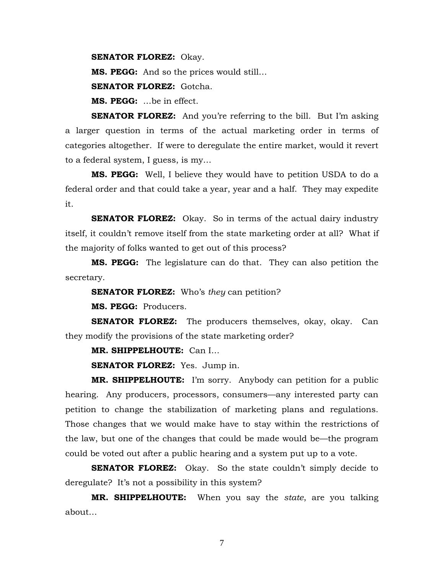**SENATOR FLOREZ:** Okay.

**MS. PEGG:** And so the prices would still…

**SENATOR FLOREZ:** Gotcha.

**MS. PEGG:** …be in effect.

**SENATOR FLOREZ:** And you're referring to the bill. But I'm asking a larger question in terms of the actual marketing order in terms of categories altogether. If were to deregulate the entire market, would it revert to a federal system, I guess, is my…

**MS. PEGG:** Well, I believe they would have to petition USDA to do a federal order and that could take a year, year and a half. They may expedite it.

**SENATOR FLOREZ:** Okay. So in terms of the actual dairy industry itself, it couldn't remove itself from the state marketing order at all? What if the majority of folks wanted to get out of this process?

**MS. PEGG:** The legislature can do that. They can also petition the secretary.

**SENATOR FLOREZ:** Who's *they* can petition?

**MS. PEGG:** Producers.

**SENATOR FLOREZ:** The producers themselves, okay, okay. Can they modify the provisions of the state marketing order?

**MR. SHIPPELHOUTE:** Can I…

**SENATOR FLOREZ:** Yes. Jump in.

**MR. SHIPPELHOUTE:** I'm sorry. Anybody can petition for a public hearing. Any producers, processors, consumers—any interested party can petition to change the stabilization of marketing plans and regulations. Those changes that we would make have to stay within the restrictions of the law, but one of the changes that could be made would be—the program could be voted out after a public hearing and a system put up to a vote.

**SENATOR FLOREZ:** Okay. So the state couldn't simply decide to deregulate? It's not a possibility in this system?

**MR. SHIPPELHOUTE:** When you say the *state*, are you talking about…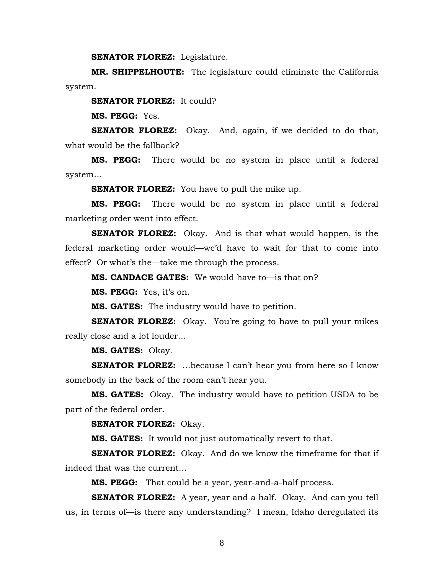**SENATOR FLOREZ:** Legislature.

**MR. SHIPPELHOUTE:** The legislature could eliminate the California system.

**SENATOR FLOREZ:** It could?

**MS. PEGG:** Yes.

**SENATOR FLOREZ:** Okay. And, again, if we decided to do that, what would be the fallback?

**MS. PEGG:** There would be no system in place until a federal system…

**SENATOR FLOREZ:** You have to pull the mike up.

**MS. PEGG:** There would be no system in place until a federal marketing order went into effect.

**SENATOR FLOREZ:** Okay. And is that what would happen, is the federal marketing order would—we'd have to wait for that to come into effect? Or what's the—take me through the process.

**MS. CANDACE GATES:** We would have to—is that on?

**MS. PEGG:** Yes, it's on.

**MS. GATES:** The industry would have to petition.

**SENATOR FLOREZ:** Okay. You're going to have to pull your mikes really close and a lot louder…

**MS. GATES:** Okay.

**SENATOR FLOREZ:** ...because I can't hear you from here so I know somebody in the back of the room can't hear you.

**MS. GATES:** Okay. The industry would have to petition USDA to be part of the federal order.

**SENATOR FLOREZ:** Okay.

**MS. GATES:** It would not just automatically revert to that.

**SENATOR FLOREZ:** Okay. And do we know the timeframe for that if indeed that was the current…

**MS. PEGG:** That could be a year, year-and-a-half process.

**SENATOR FLOREZ:** A year, year and a half. Okay. And can you tell us, in terms of—is there any understanding? I mean, Idaho deregulated its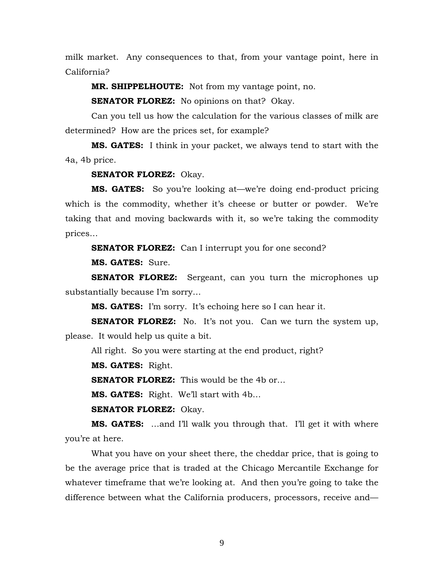milk market. Any consequences to that, from your vantage point, here in California?

**MR. SHIPPELHOUTE:** Not from my vantage point, no.

**SENATOR FLOREZ:** No opinions on that? Okay.

 Can you tell us how the calculation for the various classes of milk are determined? How are the prices set, for example?

**MS. GATES:** I think in your packet, we always tend to start with the 4a, 4b price.

#### **SENATOR FLOREZ:** Okay.

**MS. GATES:** So you're looking at—we're doing end-product pricing which is the commodity, whether it's cheese or butter or powder. We're taking that and moving backwards with it, so we're taking the commodity prices…

**SENATOR FLOREZ:** Can I interrupt you for one second?

**MS. GATES:** Sure.

**SENATOR FLOREZ:** Sergeant, can you turn the microphones up substantially because I'm sorry…

**MS. GATES:** I'm sorry. It's echoing here so I can hear it.

**SENATOR FLOREZ:** No. It's not you. Can we turn the system up, please. It would help us quite a bit.

All right. So you were starting at the end product, right?

**MS. GATES:** Right.

**SENATOR FLOREZ:** This would be the 4b or...

**MS. GATES:** Right. We'll start with 4b…

**SENATOR FLOREZ:** Okay.

**MS. GATES:** …and I'll walk you through that. I'll get it with where you're at here.

What you have on your sheet there, the cheddar price, that is going to be the average price that is traded at the Chicago Mercantile Exchange for whatever timeframe that we're looking at. And then you're going to take the difference between what the California producers, processors, receive and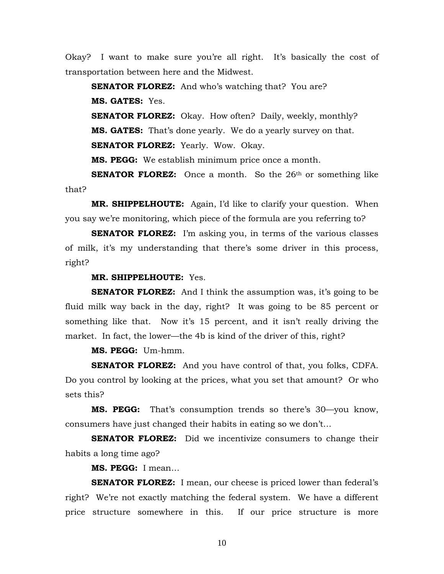Okay? I want to make sure you're all right. It's basically the cost of transportation between here and the Midwest.

**SENATOR FLOREZ:** And who's watching that? You are? **MS. GATES:** Yes.

**SENATOR FLOREZ:** Okay. How often? Daily, weekly, monthly? **MS. GATES:** That's done yearly. We do a yearly survey on that. **SENATOR FLOREZ:** Yearly. Wow. Okay.

**MS. PEGG:** We establish minimum price once a month.

**SENATOR FLOREZ:** Once a month. So the 26<sup>th</sup> or something like that?

**MR. SHIPPELHOUTE:** Again, I'd like to clarify your question. When you say we're monitoring, which piece of the formula are you referring to?

**SENATOR FLOREZ:** I'm asking you, in terms of the various classes of milk, it's my understanding that there's some driver in this process, right?

**MR. SHIPPELHOUTE:** Yes.

**SENATOR FLOREZ:** And I think the assumption was, it's going to be fluid milk way back in the day, right? It was going to be 85 percent or something like that. Now it's 15 percent, and it isn't really driving the market. In fact, the lower—the 4b is kind of the driver of this, right?

**MS. PEGG:** Um-hmm.

**SENATOR FLOREZ:** And you have control of that, you folks, CDFA. Do you control by looking at the prices, what you set that amount? Or who sets this?

**MS. PEGG:** That's consumption trends so there's 30—you know, consumers have just changed their habits in eating so we don't…

**SENATOR FLOREZ:** Did we incentivize consumers to change their habits a long time ago?

**MS. PEGG:** I mean…

**SENATOR FLOREZ:** I mean, our cheese is priced lower than federal's right? We're not exactly matching the federal system. We have a different price structure somewhere in this. If our price structure is more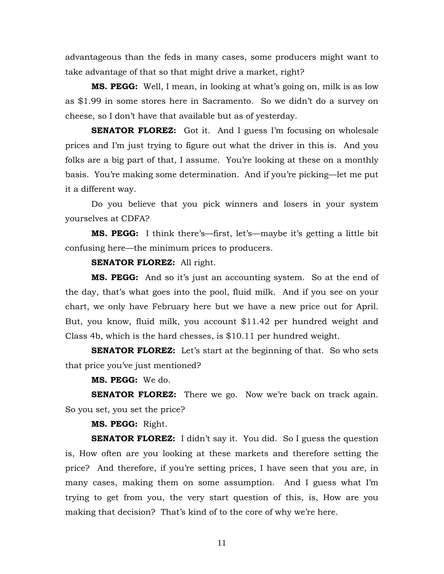advantageous than the feds in many cases, some producers might want to take advantage of that so that might drive a market, right?

**MS. PEGG:** Well, I mean, in looking at what's going on, milk is as low as \$1.99 in some stores here in Sacramento. So we didn't do a survey on cheese, so I don't have that available but as of yesterday.

**SENATOR FLOREZ:** Got it. And I guess I'm focusing on wholesale prices and I'm just trying to figure out what the driver in this is. And you folks are a big part of that, I assume. You're looking at these on a monthly basis. You're making some determination. And if you're picking—let me put it a different way.

Do you believe that you pick winners and losers in your system yourselves at CDFA?

**MS. PEGG:** I think there's—first, let's—maybe it's getting a little bit confusing here—the minimum prices to producers.

**SENATOR FLOREZ:** All right.

**MS. PEGG:** And so it's just an accounting system. So at the end of the day, that's what goes into the pool, fluid milk. And if you see on your chart, we only have February here but we have a new price out for April. But, you know, fluid milk, you account \$11.42 per hundred weight and Class 4b, which is the hard chesses, is \$10.11 per hundred weight.

**SENATOR FLOREZ:** Let's start at the beginning of that. So who sets that price you've just mentioned?

**MS. PEGG:** We do.

**SENATOR FLOREZ:** There we go. Now we're back on track again. So you set, you set the price?

**MS. PEGG:** Right.

**SENATOR FLOREZ:** I didn't say it. You did. So I guess the question is, How often are you looking at these markets and therefore setting the price? And therefore, if you're setting prices, I have seen that you are, in many cases, making them on some assumption. And I guess what I'm trying to get from you, the very start question of this, is, How are you making that decision? That's kind of to the core of why we're here.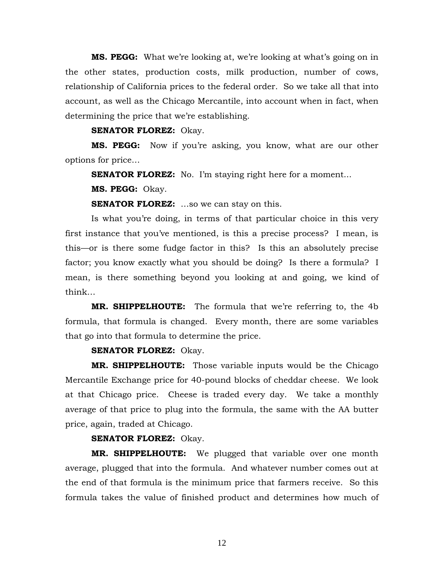**MS. PEGG:** What we're looking at, we're looking at what's going on in the other states, production costs, milk production, number of cows, relationship of California prices to the federal order. So we take all that into account, as well as the Chicago Mercantile, into account when in fact, when determining the price that we're establishing.

#### **SENATOR FLOREZ:** Okay.

**MS. PEGG:** Now if you're asking, you know, what are our other options for price…

**SENATOR FLOREZ:** No. I'm staying right here for a moment...

**MS. PEGG:** Okay.

**SENATOR FLOREZ:** ...so we can stay on this.

Is what you're doing, in terms of that particular choice in this very first instance that you've mentioned, is this a precise process? I mean, is this—or is there some fudge factor in this? Is this an absolutely precise factor; you know exactly what you should be doing? Is there a formula? I mean, is there something beyond you looking at and going, we kind of think…

**MR. SHIPPELHOUTE:** The formula that we're referring to, the 4b formula, that formula is changed. Every month, there are some variables that go into that formula to determine the price.

#### **SENATOR FLOREZ:** Okay.

**MR. SHIPPELHOUTE:** Those variable inputs would be the Chicago Mercantile Exchange price for 40-pound blocks of cheddar cheese. We look at that Chicago price. Cheese is traded every day. We take a monthly average of that price to plug into the formula, the same with the AA butter price, again, traded at Chicago.

#### **SENATOR FLOREZ:** Okay.

**MR. SHIPPELHOUTE:** We plugged that variable over one month average, plugged that into the formula. And whatever number comes out at the end of that formula is the minimum price that farmers receive. So this formula takes the value of finished product and determines how much of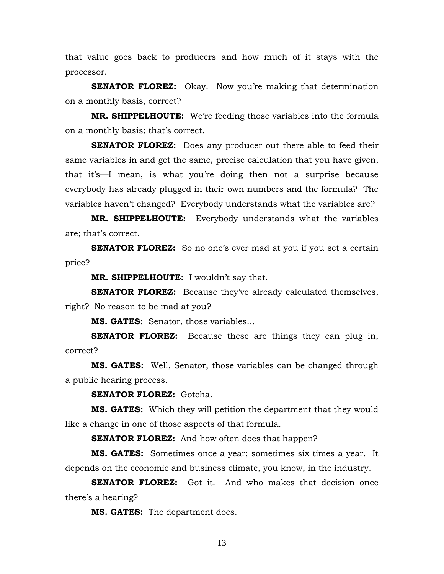that value goes back to producers and how much of it stays with the processor.

**SENATOR FLOREZ:** Okay. Now you're making that determination on a monthly basis, correct?

**MR. SHIPPELHOUTE:** We're feeding those variables into the formula on a monthly basis; that's correct.

**SENATOR FLOREZ:** Does any producer out there able to feed their same variables in and get the same, precise calculation that you have given, that it's—I mean, is what you're doing then not a surprise because everybody has already plugged in their own numbers and the formula? The variables haven't changed? Everybody understands what the variables are?

**MR. SHIPPELHOUTE:** Everybody understands what the variables are; that's correct.

**SENATOR FLOREZ:** So no one's ever mad at you if you set a certain price?

**MR. SHIPPELHOUTE:** I wouldn't say that.

**SENATOR FLOREZ:** Because they've already calculated themselves, right? No reason to be mad at you?

**MS. GATES:** Senator, those variables…

**SENATOR FLOREZ:** Because these are things they can plug in, correct?

**MS. GATES:** Well, Senator, those variables can be changed through a public hearing process.

**SENATOR FLOREZ:** Gotcha.

**MS. GATES:** Which they will petition the department that they would like a change in one of those aspects of that formula.

**SENATOR FLOREZ:** And how often does that happen?

**MS. GATES:** Sometimes once a year; sometimes six times a year. It depends on the economic and business climate, you know, in the industry.

**SENATOR FLOREZ:** Got it. And who makes that decision once there's a hearing?

**MS. GATES:** The department does.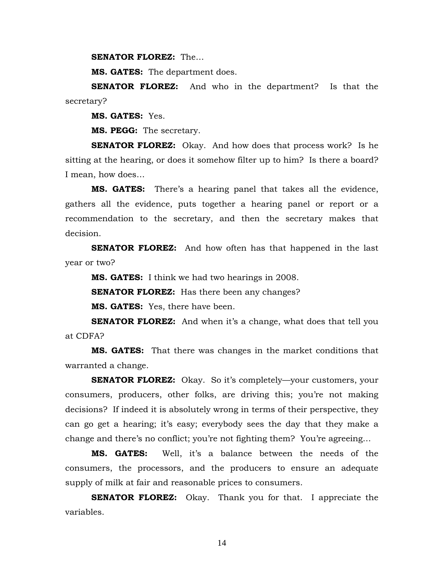**SENATOR FLOREZ:** The…

**MS. GATES:** The department does.

**SENATOR FLOREZ:** And who in the department? Is that the secretary?

**MS. GATES:** Yes.

**MS. PEGG:** The secretary.

**SENATOR FLOREZ:** Okay. And how does that process work? Is he sitting at the hearing, or does it somehow filter up to him? Is there a board? I mean, how does…

**MS. GATES:** There's a hearing panel that takes all the evidence, gathers all the evidence, puts together a hearing panel or report or a recommendation to the secretary, and then the secretary makes that decision.

**SENATOR FLOREZ:** And how often has that happened in the last year or two?

**MS. GATES:** I think we had two hearings in 2008.

**SENATOR FLOREZ:** Has there been any changes?

**MS. GATES:** Yes, there have been.

**SENATOR FLOREZ:** And when it's a change, what does that tell you at CDFA?

**MS. GATES:** That there was changes in the market conditions that warranted a change.

**SENATOR FLOREZ:** Okay. So it's completely—your customers, your consumers, producers, other folks, are driving this; you're not making decisions? If indeed it is absolutely wrong in terms of their perspective, they can go get a hearing; it's easy; everybody sees the day that they make a change and there's no conflict; you're not fighting them? You're agreeing…

**MS. GATES:** Well, it's a balance between the needs of the consumers, the processors, and the producers to ensure an adequate supply of milk at fair and reasonable prices to consumers.

**SENATOR FLOREZ:** Okay. Thank you for that. I appreciate the variables.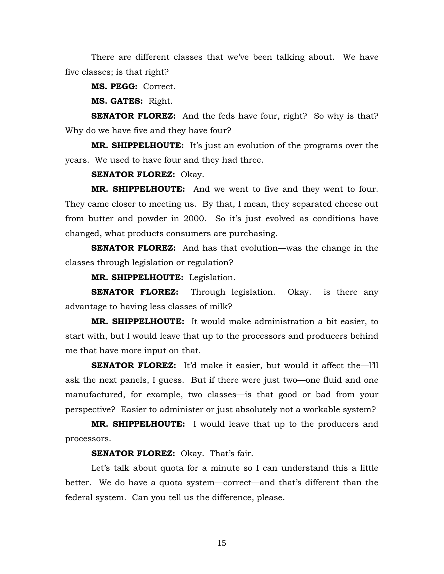There are different classes that we've been talking about. We have five classes; is that right?

**MS. PEGG:** Correct.

**MS. GATES:** Right.

**SENATOR FLOREZ:** And the feds have four, right? So why is that? Why do we have five and they have four?

**MR. SHIPPELHOUTE:** It's just an evolution of the programs over the years. We used to have four and they had three.

**SENATOR FLOREZ:** Okay.

**MR. SHIPPELHOUTE:** And we went to five and they went to four. They came closer to meeting us. By that, I mean, they separated cheese out from butter and powder in 2000. So it's just evolved as conditions have changed, what products consumers are purchasing.

**SENATOR FLOREZ:** And has that evolution—was the change in the classes through legislation or regulation?

**MR. SHIPPELHOUTE:** Legislation.

**SENATOR FLOREZ:** Through legislation. Okay. is there any advantage to having less classes of milk?

**MR. SHIPPELHOUTE:** It would make administration a bit easier, to start with, but I would leave that up to the processors and producers behind me that have more input on that.

**SENATOR FLOREZ:** It'd make it easier, but would it affect the—I'll ask the next panels, I guess. But if there were just two—one fluid and one manufactured, for example, two classes—is that good or bad from your perspective? Easier to administer or just absolutely not a workable system?

**MR. SHIPPELHOUTE:** I would leave that up to the producers and processors.

**SENATOR FLOREZ:** Okay. That's fair.

 Let's talk about quota for a minute so I can understand this a little better. We do have a quota system—correct—and that's different than the federal system. Can you tell us the difference, please.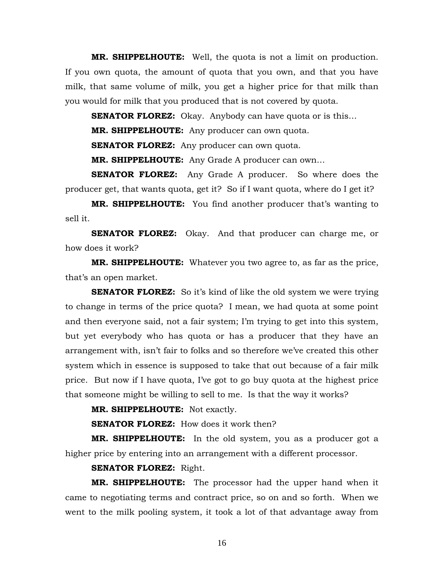**MR. SHIPPELHOUTE:** Well, the quota is not a limit on production. If you own quota, the amount of quota that you own, and that you have milk, that same volume of milk, you get a higher price for that milk than you would for milk that you produced that is not covered by quota.

**SENATOR FLOREZ:** Okay. Anybody can have quota or is this...

**MR. SHIPPELHOUTE:** Any producer can own quota.

**SENATOR FLOREZ:** Any producer can own quota.

**MR. SHIPPELHOUTE:** Any Grade A producer can own…

**SENATOR FLOREZ:** Any Grade A producer. So where does the producer get, that wants quota, get it? So if I want quota, where do I get it?

**MR. SHIPPELHOUTE:** You find another producer that's wanting to sell it.

**SENATOR FLOREZ:** Okay. And that producer can charge me, or how does it work?

**MR. SHIPPELHOUTE:** Whatever you two agree to, as far as the price, that's an open market.

**SENATOR FLOREZ:** So it's kind of like the old system we were trying to change in terms of the price quota? I mean, we had quota at some point and then everyone said, not a fair system; I'm trying to get into this system, but yet everybody who has quota or has a producer that they have an arrangement with, isn't fair to folks and so therefore we've created this other system which in essence is supposed to take that out because of a fair milk price. But now if I have quota, I've got to go buy quota at the highest price that someone might be willing to sell to me. Is that the way it works?

**MR. SHIPPELHOUTE:** Not exactly.

**SENATOR FLOREZ:** How does it work then?

**MR. SHIPPELHOUTE:** In the old system, you as a producer got a higher price by entering into an arrangement with a different processor.

**SENATOR FLOREZ:** Right.

**MR. SHIPPELHOUTE:** The processor had the upper hand when it came to negotiating terms and contract price, so on and so forth. When we went to the milk pooling system, it took a lot of that advantage away from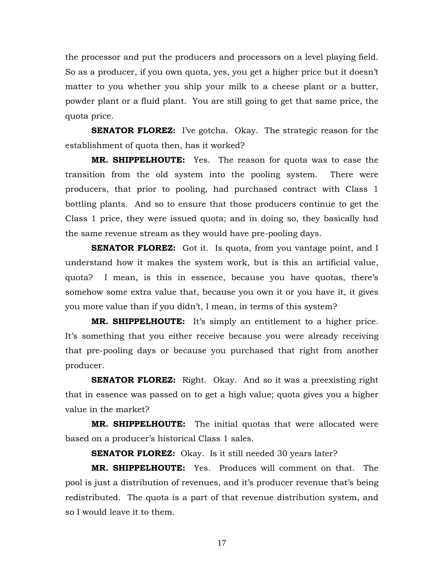the processor and put the producers and processors on a level playing field. So as a producer, if you own quota, yes, you get a higher price but it doesn't matter to you whether you ship your milk to a cheese plant or a butter, powder plant or a fluid plant. You are still going to get that same price, the quota price.

**SENATOR FLOREZ:** I've gotcha. Okay. The strategic reason for the establishment of quota then, has it worked?

**MR. SHIPPELHOUTE:** Yes. The reason for quota was to ease the transition from the old system into the pooling system. There were producers, that prior to pooling, had purchased contract with Class 1 bottling plants. And so to ensure that those producers continue to get the Class 1 price, they were issued quota; and in doing so, they basically had the same revenue stream as they would have pre-pooling days.

**SENATOR FLOREZ:** Got it. Is quota, from you vantage point, and I understand how it makes the system work, but is this an artificial value, quota? I mean, is this in essence, because you have quotas, there's somehow some extra value that, because you own it or you have it, it gives you more value than if you didn't, I mean, in terms of this system?

**MR. SHIPPELHOUTE:** It's simply an entitlement to a higher price. It's something that you either receive because you were already receiving that pre-pooling days or because you purchased that right from another producer.

**SENATOR FLOREZ:** Right. Okay. And so it was a preexisting right that in essence was passed on to get a high value; quota gives you a higher value in the market?

**MR. SHIPPELHOUTE:** The initial quotas that were allocated were based on a producer's historical Class 1 sales.

**SENATOR FLOREZ:** Okay. Is it still needed 30 years later?

**MR. SHIPPELHOUTE:** Yes. Produces will comment on that. The pool is just a distribution of revenues, and it's producer revenue that's being redistributed. The quota is a part of that revenue distribution system, and so I would leave it to them.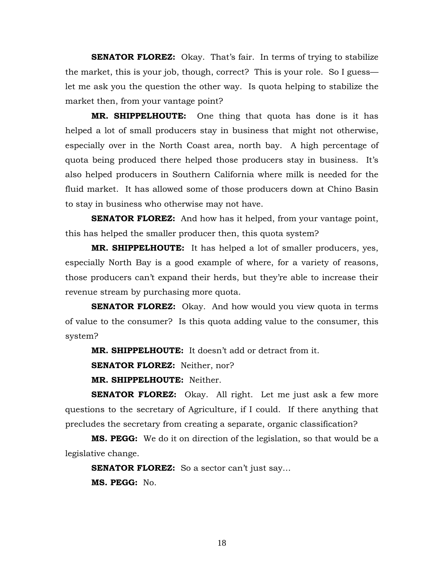**SENATOR FLOREZ:** Okay. That's fair. In terms of trying to stabilize the market, this is your job, though, correct? This is your role. So I guess let me ask you the question the other way. Is quota helping to stabilize the market then, from your vantage point?

**MR. SHIPPELHOUTE:** One thing that quota has done is it has helped a lot of small producers stay in business that might not otherwise, especially over in the North Coast area, north bay. A high percentage of quota being produced there helped those producers stay in business. It's also helped producers in Southern California where milk is needed for the fluid market. It has allowed some of those producers down at Chino Basin to stay in business who otherwise may not have.

**SENATOR FLOREZ:** And how has it helped, from your vantage point, this has helped the smaller producer then, this quota system?

**MR. SHIPPELHOUTE:** It has helped a lot of smaller producers, yes, especially North Bay is a good example of where, for a variety of reasons, those producers can't expand their herds, but they're able to increase their revenue stream by purchasing more quota.

**SENATOR FLOREZ:** Okay. And how would you view quota in terms of value to the consumer? Is this quota adding value to the consumer, this system?

**MR. SHIPPELHOUTE:** It doesn't add or detract from it.

**SENATOR FLOREZ:** Neither, nor?

**MR. SHIPPELHOUTE:** Neither.

**SENATOR FLOREZ:** Okay. All right. Let me just ask a few more questions to the secretary of Agriculture, if I could. If there anything that precludes the secretary from creating a separate, organic classification?

**MS. PEGG:** We do it on direction of the legislation, so that would be a legislative change.

**SENATOR FLOREZ:** So a sector can't just say...

**MS. PEGG:** No.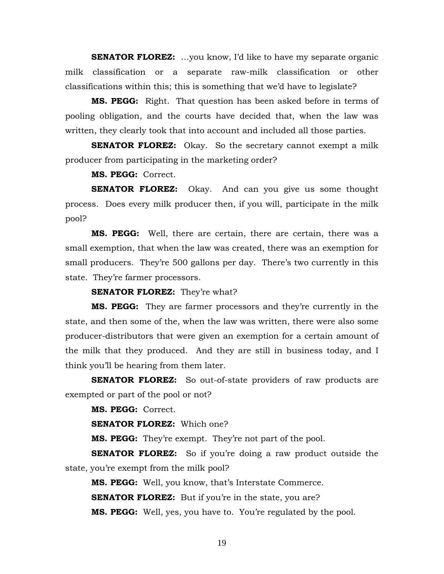**SENATOR FLOREZ:** ...you know, I'd like to have my separate organic milk classification or a separate raw-milk classification or other classifications within this; this is something that we'd have to legislate?

**MS. PEGG:** Right. That question has been asked before in terms of pooling obligation, and the courts have decided that, when the law was written, they clearly took that into account and included all those parties.

**SENATOR FLOREZ:** Okay. So the secretary cannot exempt a milk producer from participating in the marketing order?

**MS. PEGG:** Correct.

**SENATOR FLOREZ:** Okay. And can you give us some thought process. Does every milk producer then, if you will, participate in the milk pool?

**MS. PEGG:** Well, there are certain, there are certain, there was a small exemption, that when the law was created, there was an exemption for small producers. They're 500 gallons per day. There's two currently in this state. They're farmer processors.

**SENATOR FLOREZ:** They're what?

**MS. PEGG:** They are farmer processors and they're currently in the state, and then some of the, when the law was written, there were also some producer-distributors that were given an exemption for a certain amount of the milk that they produced. And they are still in business today, and I think you'll be hearing from them later.

**SENATOR FLOREZ:** So out-of-state providers of raw products are exempted or part of the pool or not?

**MS. PEGG:** Correct.

**SENATOR FLOREZ:** Which one?

**MS. PEGG:** They're exempt. They're not part of the pool.

**SENATOR FLOREZ:** So if you're doing a raw product outside the state, you're exempt from the milk pool?

**MS. PEGG:** Well, you know, that's Interstate Commerce.

**SENATOR FLOREZ:** But if you're in the state, you are?

**MS. PEGG:** Well, yes, you have to. You're regulated by the pool.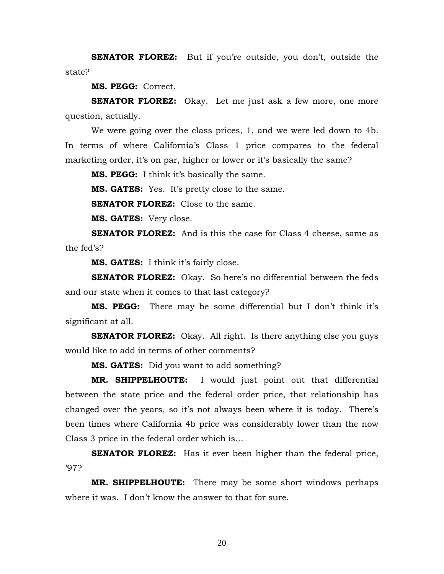**SENATOR FLOREZ:** But if you're outside, you don't, outside the state?

**MS. PEGG:** Correct.

**SENATOR FLOREZ:** Okay. Let me just ask a few more, one more question, actually.

 We were going over the class prices, 1, and we were led down to 4b. In terms of where California's Class 1 price compares to the federal marketing order, it's on par, higher or lower or it's basically the same?

**MS. PEGG:** I think it's basically the same.

**MS. GATES:** Yes. It's pretty close to the same.

**SENATOR FLOREZ:** Close to the same.

**MS. GATES:** Very close.

**SENATOR FLOREZ:** And is this the case for Class 4 cheese, same as the fed's?

**MS. GATES:** I think it's fairly close.

**SENATOR FLOREZ:** Okay. So here's no differential between the feds and our state when it comes to that last category?

**MS. PEGG:** There may be some differential but I don't think it's significant at all.

**SENATOR FLOREZ:** Okay. All right. Is there anything else you guys would like to add in terms of other comments?

**MS. GATES:** Did you want to add something?

**MR. SHIPPELHOUTE:** I would just point out that differential between the state price and the federal order price, that relationship has changed over the years, so it's not always been where it is today. There's been times where California 4b price was considerably lower than the now Class 3 price in the federal order which is…

**SENATOR FLOREZ:** Has it ever been higher than the federal price, '97?

**MR. SHIPPELHOUTE:** There may be some short windows perhaps where it was. I don't know the answer to that for sure.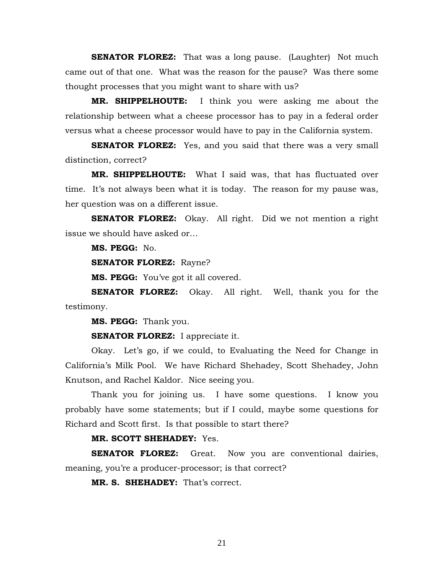**SENATOR FLOREZ:** That was a long pause. (Laughter) Not much came out of that one. What was the reason for the pause? Was there some thought processes that you might want to share with us?

**MR. SHIPPELHOUTE:** I think you were asking me about the relationship between what a cheese processor has to pay in a federal order versus what a cheese processor would have to pay in the California system.

**SENATOR FLOREZ:** Yes, and you said that there was a very small distinction, correct?

**MR. SHIPPELHOUTE:** What I said was, that has fluctuated over time. It's not always been what it is today. The reason for my pause was, her question was on a different issue.

**SENATOR FLOREZ:** Okay. All right. Did we not mention a right issue we should have asked or…

**MS. PEGG:** No.

**SENATOR FLOREZ:** Rayne?

**MS. PEGG:** You've got it all covered.

**SENATOR FLOREZ:** Okay. All right. Well, thank you for the testimony.

**MS. PEGG:** Thank you.

**SENATOR FLOREZ:** I appreciate it.

Okay. Let's go, if we could, to Evaluating the Need for Change in California's Milk Pool. We have Richard Shehadey, Scott Shehadey, John Knutson, and Rachel Kaldor. Nice seeing you.

Thank you for joining us. I have some questions. I know you probably have some statements; but if I could, maybe some questions for Richard and Scott first. Is that possible to start there?

#### **MR. SCOTT SHEHADEY:** Yes.

**SENATOR FLOREZ:** Great. Now you are conventional dairies, meaning, you're a producer-processor; is that correct?

**MR. S. SHEHADEY:** That's correct.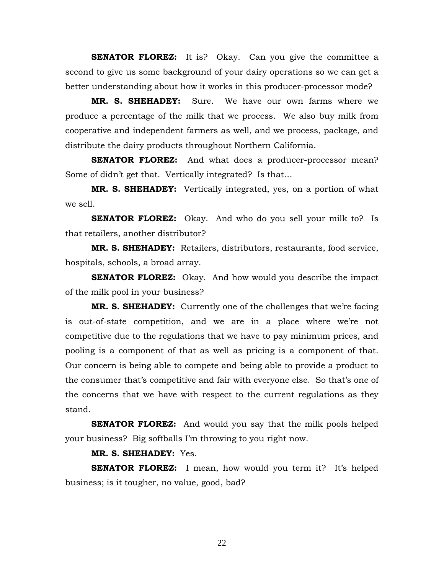**SENATOR FLOREZ:** It is? Okay. Can you give the committee a second to give us some background of your dairy operations so we can get a better understanding about how it works in this producer-processor mode?

**MR. S. SHEHADEY:** Sure. We have our own farms where we produce a percentage of the milk that we process. We also buy milk from cooperative and independent farmers as well, and we process, package, and distribute the dairy products throughout Northern California.

**SENATOR FLOREZ:** And what does a producer-processor mean? Some of didn't get that. Vertically integrated? Is that…

**MR. S. SHEHADEY:** Vertically integrated, yes, on a portion of what we sell.

**SENATOR FLOREZ:** Okay. And who do you sell your milk to? Is that retailers, another distributor?

**MR. S. SHEHADEY:** Retailers, distributors, restaurants, food service, hospitals, schools, a broad array.

**SENATOR FLOREZ:** Okay. And how would you describe the impact of the milk pool in your business?

**MR. S. SHEHADEY:** Currently one of the challenges that we're facing is out-of-state competition, and we are in a place where we're not competitive due to the regulations that we have to pay minimum prices, and pooling is a component of that as well as pricing is a component of that. Our concern is being able to compete and being able to provide a product to the consumer that's competitive and fair with everyone else. So that's one of the concerns that we have with respect to the current regulations as they stand.

**SENATOR FLOREZ:** And would you say that the milk pools helped your business? Big softballs I'm throwing to you right now.

#### **MR. S. SHEHADEY:** Yes.

**SENATOR FLOREZ:** I mean, how would you term it? It's helped business; is it tougher, no value, good, bad?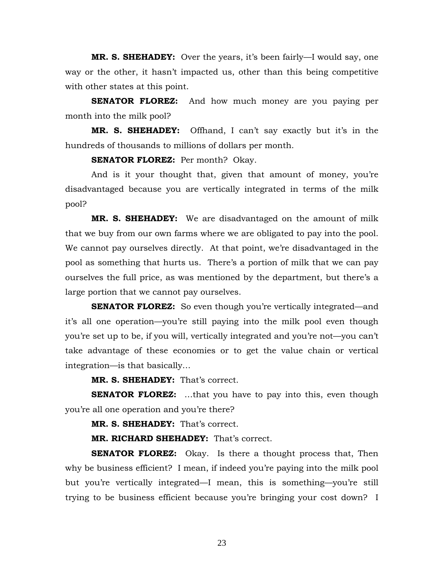**MR. S. SHEHADEY:** Over the years, it's been fairly—I would say, one way or the other, it hasn't impacted us, other than this being competitive with other states at this point.

**SENATOR FLOREZ:** And how much money are you paying per month into the milk pool?

**MR. S. SHEHADEY:** Offhand, I can't say exactly but it's in the hundreds of thousands to millions of dollars per month.

**SENATOR FLOREZ:** Per month? Okay.

And is it your thought that, given that amount of money, you're disadvantaged because you are vertically integrated in terms of the milk pool?

**MR. S. SHEHADEY:** We are disadvantaged on the amount of milk that we buy from our own farms where we are obligated to pay into the pool. We cannot pay ourselves directly. At that point, we're disadvantaged in the pool as something that hurts us. There's a portion of milk that we can pay ourselves the full price, as was mentioned by the department, but there's a large portion that we cannot pay ourselves.

**SENATOR FLOREZ:** So even though you're vertically integrated—and it's all one operation—you're still paying into the milk pool even though you're set up to be, if you will, vertically integrated and you're not—you can't take advantage of these economies or to get the value chain or vertical integration—is that basically…

**MR. S. SHEHADEY:** That's correct.

**SENATOR FLOREZ:** ...that you have to pay into this, even though you're all one operation and you're there?

**MR. S. SHEHADEY:** That's correct.

**MR. RICHARD SHEHADEY:** That's correct.

**SENATOR FLOREZ:** Okay. Is there a thought process that, Then why be business efficient? I mean, if indeed you're paying into the milk pool but you're vertically integrated—I mean, this is something—you're still trying to be business efficient because you're bringing your cost down? I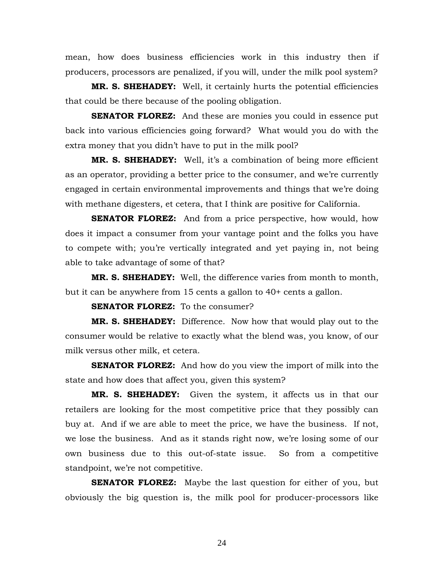mean, how does business efficiencies work in this industry then if producers, processors are penalized, if you will, under the milk pool system?

**MR. S. SHEHADEY:** Well, it certainly hurts the potential efficiencies that could be there because of the pooling obligation.

**SENATOR FLOREZ:** And these are monies you could in essence put back into various efficiencies going forward? What would you do with the extra money that you didn't have to put in the milk pool?

**MR. S. SHEHADEY:** Well, it's a combination of being more efficient as an operator, providing a better price to the consumer, and we're currently engaged in certain environmental improvements and things that we're doing with methane digesters, et cetera, that I think are positive for California.

**SENATOR FLOREZ:** And from a price perspective, how would, how does it impact a consumer from your vantage point and the folks you have to compete with; you're vertically integrated and yet paying in, not being able to take advantage of some of that?

**MR. S. SHEHADEY:** Well, the difference varies from month to month, but it can be anywhere from 15 cents a gallon to 40+ cents a gallon.

**SENATOR FLOREZ:** To the consumer?

**MR. S. SHEHADEY:** Difference. Now how that would play out to the consumer would be relative to exactly what the blend was, you know, of our milk versus other milk, et cetera.

**SENATOR FLOREZ:** And how do you view the import of milk into the state and how does that affect you, given this system?

**MR. S. SHEHADEY:** Given the system, it affects us in that our retailers are looking for the most competitive price that they possibly can buy at. And if we are able to meet the price, we have the business. If not, we lose the business. And as it stands right now, we're losing some of our own business due to this out-of-state issue. So from a competitive standpoint, we're not competitive.

**SENATOR FLOREZ:** Maybe the last question for either of you, but obviously the big question is, the milk pool for producer-processors like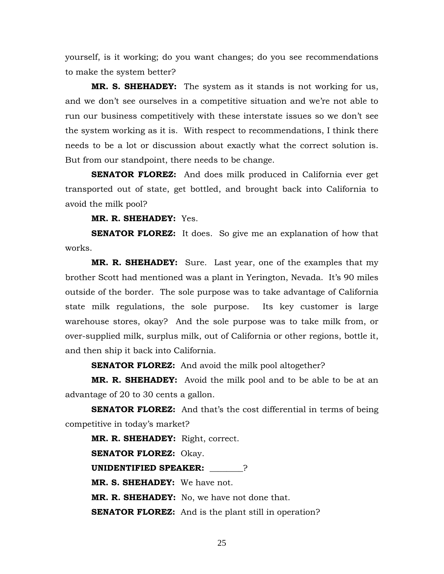yourself, is it working; do you want changes; do you see recommendations to make the system better?

**MR. S. SHEHADEY:** The system as it stands is not working for us, and we don't see ourselves in a competitive situation and we're not able to run our business competitively with these interstate issues so we don't see the system working as it is. With respect to recommendations, I think there needs to be a lot or discussion about exactly what the correct solution is. But from our standpoint, there needs to be change.

**SENATOR FLOREZ:** And does milk produced in California ever get transported out of state, get bottled, and brought back into California to avoid the milk pool?

**MR. R. SHEHADEY:** Yes.

**SENATOR FLOREZ:** It does. So give me an explanation of how that works.

**MR. R. SHEHADEY:** Sure. Last year, one of the examples that my brother Scott had mentioned was a plant in Yerington, Nevada. It's 90 miles outside of the border. The sole purpose was to take advantage of California state milk regulations, the sole purpose. Its key customer is large warehouse stores, okay? And the sole purpose was to take milk from, or over-supplied milk, surplus milk, out of California or other regions, bottle it, and then ship it back into California.

**SENATOR FLOREZ:** And avoid the milk pool altogether?

**MR. R. SHEHADEY:** Avoid the milk pool and to be able to be at an advantage of 20 to 30 cents a gallon.

**SENATOR FLOREZ:** And that's the cost differential in terms of being competitive in today's market?

**MR. R. SHEHADEY:** Right, correct. **SENATOR FLOREZ:** Okay. **UNIDENTIFIED SPEAKER:** \_\_\_\_\_\_\_\_? **MR. S. SHEHADEY:** We have not. **MR. R. SHEHADEY:** No, we have not done that. **SENATOR FLOREZ:** And is the plant still in operation?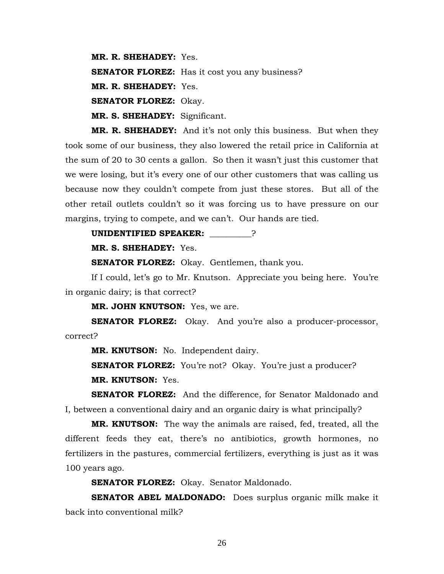**MR. R. SHEHADEY:** Yes. **SENATOR FLOREZ:** Has it cost you any business? **MR. R. SHEHADEY:** Yes. **SENATOR FLOREZ:** Okay. **MR. S. SHEHADEY:** Significant.

**MR. R. SHEHADEY:** And it's not only this business. But when they took some of our business, they also lowered the retail price in California at the sum of 20 to 30 cents a gallon. So then it wasn't just this customer that we were losing, but it's every one of our other customers that was calling us because now they couldn't compete from just these stores. But all of the other retail outlets couldn't so it was forcing us to have pressure on our margins, trying to compete, and we can't. Our hands are tied.

#### **UNIDENTIFIED SPEAKER:** \_\_\_\_\_\_\_\_\_\_?

**MR. S. SHEHADEY:** Yes.

**SENATOR FLOREZ:** Okay. Gentlemen, thank you.

 If I could, let's go to Mr. Knutson. Appreciate you being here. You're in organic dairy; is that correct?

**MR. JOHN KNUTSON:** Yes, we are.

**SENATOR FLOREZ:** Okay. And you're also a producer-processor, correct?

**MR. KNUTSON:** No. Independent dairy.

**SENATOR FLOREZ:** You're not? Okay. You're just a producer? **MR. KNUTSON:** Yes.

**SENATOR FLOREZ:** And the difference, for Senator Maldonado and I, between a conventional dairy and an organic dairy is what principally?

**MR. KNUTSON:** The way the animals are raised, fed, treated, all the different feeds they eat, there's no antibiotics, growth hormones, no fertilizers in the pastures, commercial fertilizers, everything is just as it was 100 years ago.

**SENATOR FLOREZ:** Okay. Senator Maldonado.

**SENATOR ABEL MALDONADO:** Does surplus organic milk make it back into conventional milk?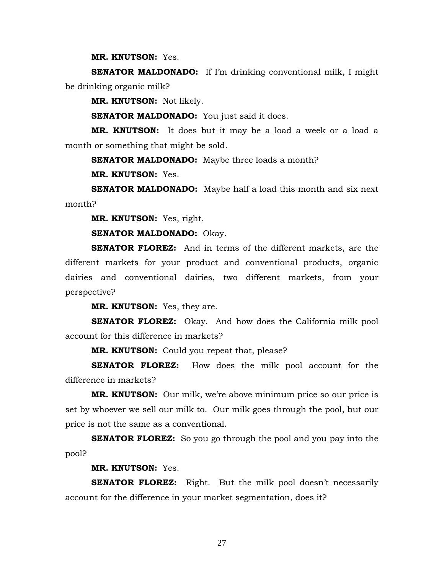**MR. KNUTSON:** Yes.

**SENATOR MALDONADO:** If I'm drinking conventional milk, I might be drinking organic milk?

**MR. KNUTSON:** Not likely.

**SENATOR MALDONADO:** You just said it does.

**MR. KNUTSON:** It does but it may be a load a week or a load a month or something that might be sold.

**SENATOR MALDONADO:** Maybe three loads a month?

**MR. KNUTSON:** Yes.

**SENATOR MALDONADO:** Maybe half a load this month and six next month?

**MR. KNUTSON:** Yes, right.

**SENATOR MALDONADO:** Okay.

**SENATOR FLOREZ:** And in terms of the different markets, are the different markets for your product and conventional products, organic dairies and conventional dairies, two different markets, from your perspective?

**MR. KNUTSON:** Yes, they are.

**SENATOR FLOREZ:** Okay. And how does the California milk pool account for this difference in markets?

**MR. KNUTSON:** Could you repeat that, please?

**SENATOR FLOREZ:** How does the milk pool account for the difference in markets?

**MR. KNUTSON:** Our milk, we're above minimum price so our price is set by whoever we sell our milk to. Our milk goes through the pool, but our price is not the same as a conventional.

**SENATOR FLOREZ:** So you go through the pool and you pay into the pool?

**MR. KNUTSON:** Yes.

**SENATOR FLOREZ:** Right. But the milk pool doesn't necessarily account for the difference in your market segmentation, does it?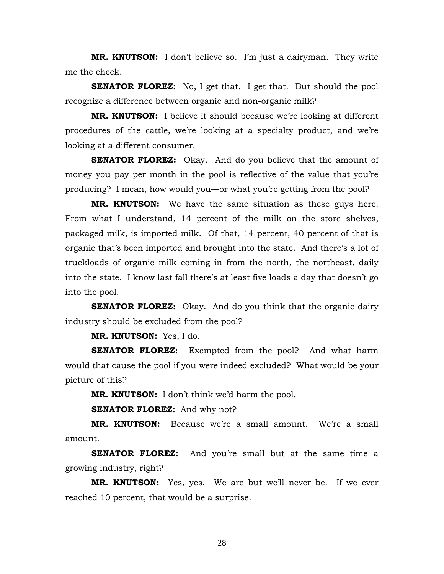**MR. KNUTSON:** I don't believe so. I'm just a dairyman. They write me the check.

**SENATOR FLOREZ:** No, I get that. I get that. But should the pool recognize a difference between organic and non-organic milk?

**MR. KNUTSON:** I believe it should because we're looking at different procedures of the cattle, we're looking at a specialty product, and we're looking at a different consumer.

**SENATOR FLOREZ:** Okay. And do you believe that the amount of money you pay per month in the pool is reflective of the value that you're producing? I mean, how would you—or what you're getting from the pool?

**MR. KNUTSON:** We have the same situation as these guys here. From what I understand, 14 percent of the milk on the store shelves, packaged milk, is imported milk. Of that, 14 percent, 40 percent of that is organic that's been imported and brought into the state. And there's a lot of truckloads of organic milk coming in from the north, the northeast, daily into the state. I know last fall there's at least five loads a day that doesn't go into the pool.

**SENATOR FLOREZ:** Okay. And do you think that the organic dairy industry should be excluded from the pool?

**MR. KNUTSON:** Yes, I do.

**SENATOR FLOREZ:** Exempted from the pool? And what harm would that cause the pool if you were indeed excluded? What would be your picture of this?

**MR. KNUTSON:** I don't think we'd harm the pool.

**SENATOR FLOREZ:** And why not?

**MR. KNUTSON:** Because we're a small amount. We're a small amount.

**SENATOR FLOREZ:** And you're small but at the same time a growing industry, right?

**MR. KNUTSON:** Yes, yes. We are but we'll never be. If we ever reached 10 percent, that would be a surprise.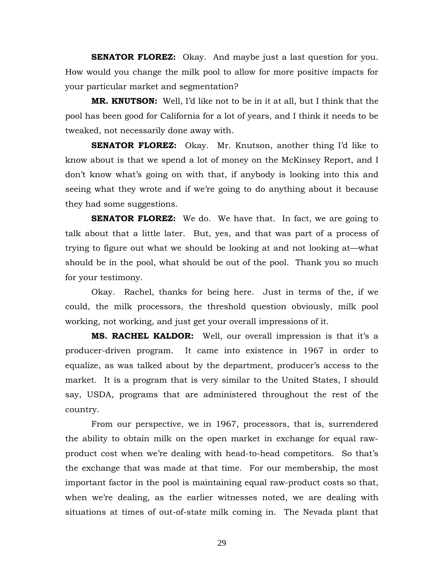**SENATOR FLOREZ:** Okay. And maybe just a last question for you. How would you change the milk pool to allow for more positive impacts for your particular market and segmentation?

**MR. KNUTSON:** Well, I'd like not to be in it at all, but I think that the pool has been good for California for a lot of years, and I think it needs to be tweaked, not necessarily done away with.

**SENATOR FLOREZ:** Okay. Mr. Knutson, another thing I'd like to know about is that we spend a lot of money on the McKinsey Report, and I don't know what's going on with that, if anybody is looking into this and seeing what they wrote and if we're going to do anything about it because they had some suggestions.

**SENATOR FLOREZ:** We do. We have that. In fact, we are going to talk about that a little later. But, yes, and that was part of a process of trying to figure out what we should be looking at and not looking at—what should be in the pool, what should be out of the pool. Thank you so much for your testimony.

 Okay. Rachel, thanks for being here. Just in terms of the, if we could, the milk processors, the threshold question obviously, milk pool working, not working, and just get your overall impressions of it.

**MS. RACHEL KALDOR:** Well, our overall impression is that it's a producer-driven program. It came into existence in 1967 in order to equalize, as was talked about by the department, producer's access to the market. It is a program that is very similar to the United States, I should say, USDA, programs that are administered throughout the rest of the country.

 From our perspective, we in 1967, processors, that is, surrendered the ability to obtain milk on the open market in exchange for equal rawproduct cost when we're dealing with head-to-head competitors. So that's the exchange that was made at that time. For our membership, the most important factor in the pool is maintaining equal raw-product costs so that, when we're dealing, as the earlier witnesses noted, we are dealing with situations at times of out-of-state milk coming in. The Nevada plant that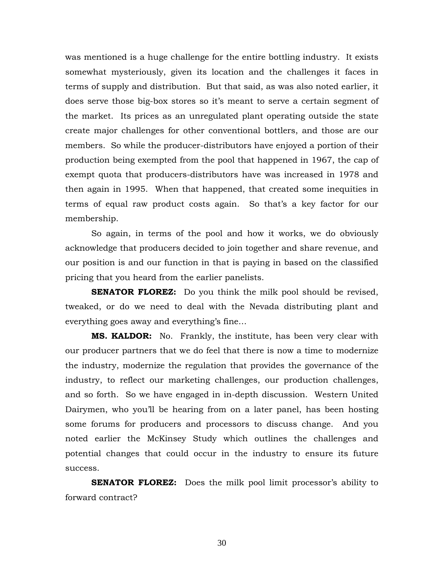was mentioned is a huge challenge for the entire bottling industry. It exists somewhat mysteriously, given its location and the challenges it faces in terms of supply and distribution. But that said, as was also noted earlier, it does serve those big-box stores so it's meant to serve a certain segment of the market. Its prices as an unregulated plant operating outside the state create major challenges for other conventional bottlers, and those are our members. So while the producer-distributors have enjoyed a portion of their production being exempted from the pool that happened in 1967, the cap of exempt quota that producers-distributors have was increased in 1978 and then again in 1995. When that happened, that created some inequities in terms of equal raw product costs again. So that's a key factor for our membership.

 So again, in terms of the pool and how it works, we do obviously acknowledge that producers decided to join together and share revenue, and our position is and our function in that is paying in based on the classified pricing that you heard from the earlier panelists.

**SENATOR FLOREZ:** Do you think the milk pool should be revised, tweaked, or do we need to deal with the Nevada distributing plant and everything goes away and everything's fine…

**MS. KALDOR:** No. Frankly, the institute, has been very clear with our producer partners that we do feel that there is now a time to modernize the industry, modernize the regulation that provides the governance of the industry, to reflect our marketing challenges, our production challenges, and so forth. So we have engaged in in-depth discussion. Western United Dairymen, who you'll be hearing from on a later panel, has been hosting some forums for producers and processors to discuss change. And you noted earlier the McKinsey Study which outlines the challenges and potential changes that could occur in the industry to ensure its future success.

**SENATOR FLOREZ:** Does the milk pool limit processor's ability to forward contract?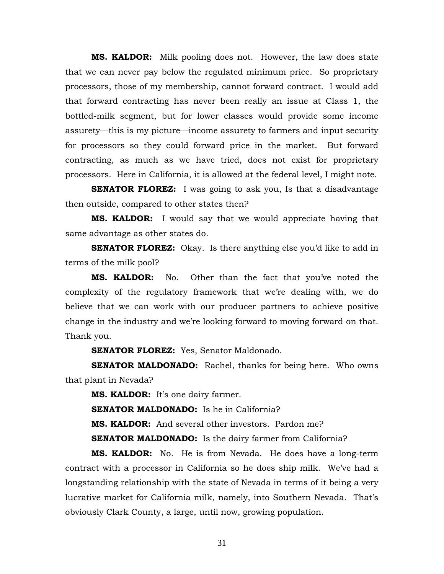**MS. KALDOR:** Milk pooling does not. However, the law does state that we can never pay below the regulated minimum price. So proprietary processors, those of my membership, cannot forward contract. I would add that forward contracting has never been really an issue at Class 1, the bottled-milk segment, but for lower classes would provide some income assurety—this is my picture—income assurety to farmers and input security for processors so they could forward price in the market. But forward contracting, as much as we have tried, does not exist for proprietary processors. Here in California, it is allowed at the federal level, I might note.

**SENATOR FLOREZ:** I was going to ask you, Is that a disadvantage then outside, compared to other states then?

**MS. KALDOR:** I would say that we would appreciate having that same advantage as other states do.

**SENATOR FLOREZ:** Okay. Is there anything else you'd like to add in terms of the milk pool?

**MS. KALDOR:** No. Other than the fact that you've noted the complexity of the regulatory framework that we're dealing with, we do believe that we can work with our producer partners to achieve positive change in the industry and we're looking forward to moving forward on that. Thank you.

**SENATOR FLOREZ:** Yes, Senator Maldonado.

**SENATOR MALDONADO:** Rachel, thanks for being here. Who owns that plant in Nevada?

**MS. KALDOR:** It's one dairy farmer.

**SENATOR MALDONADO:** Is he in California?

**MS. KALDOR:** And several other investors. Pardon me?

**SENATOR MALDONADO:** Is the dairy farmer from California?

**MS. KALDOR:** No. He is from Nevada. He does have a long-term contract with a processor in California so he does ship milk. We've had a longstanding relationship with the state of Nevada in terms of it being a very lucrative market for California milk, namely, into Southern Nevada. That's obviously Clark County, a large, until now, growing population.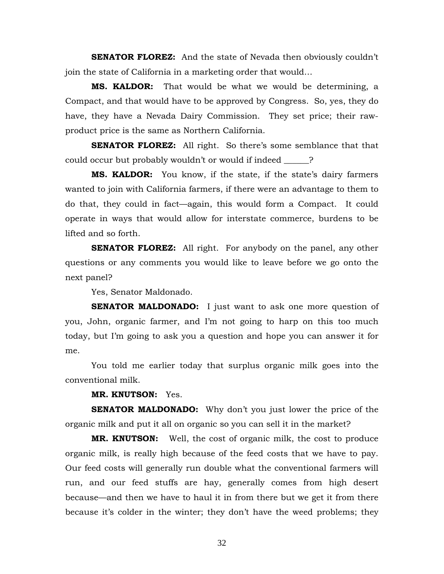**SENATOR FLOREZ:** And the state of Nevada then obviously couldn't join the state of California in a marketing order that would…

**MS. KALDOR:** That would be what we would be determining, a Compact, and that would have to be approved by Congress. So, yes, they do have, they have a Nevada Dairy Commission. They set price; their rawproduct price is the same as Northern California.

**SENATOR FLOREZ:** All right. So there's some semblance that that could occur but probably wouldn't or would if indeed \_\_\_\_\_\_?

**MS. KALDOR:** You know, if the state, if the state's dairy farmers wanted to join with California farmers, if there were an advantage to them to do that, they could in fact—again, this would form a Compact. It could operate in ways that would allow for interstate commerce, burdens to be lifted and so forth.

**SENATOR FLOREZ:** All right. For anybody on the panel, any other questions or any comments you would like to leave before we go onto the next panel?

Yes, Senator Maldonado.

**SENATOR MALDONADO:** I just want to ask one more question of you, John, organic farmer, and I'm not going to harp on this too much today, but I'm going to ask you a question and hope you can answer it for me.

 You told me earlier today that surplus organic milk goes into the conventional milk.

**MR. KNUTSON:** Yes.

**SENATOR MALDONADO:** Why don't you just lower the price of the organic milk and put it all on organic so you can sell it in the market?

**MR. KNUTSON:** Well, the cost of organic milk, the cost to produce organic milk, is really high because of the feed costs that we have to pay. Our feed costs will generally run double what the conventional farmers will run, and our feed stuffs are hay, generally comes from high desert because—and then we have to haul it in from there but we get it from there because it's colder in the winter; they don't have the weed problems; they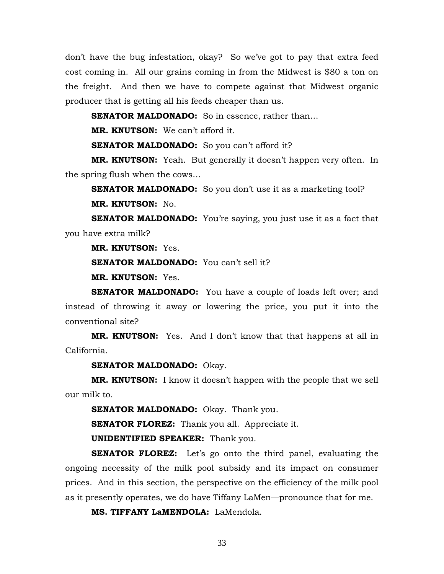don't have the bug infestation, okay? So we've got to pay that extra feed cost coming in. All our grains coming in from the Midwest is \$80 a ton on the freight. And then we have to compete against that Midwest organic producer that is getting all his feeds cheaper than us.

**SENATOR MALDONADO:** So in essence, rather than...

**MR. KNUTSON:** We can't afford it.

**SENATOR MALDONADO:** So you can't afford it?

**MR. KNUTSON:** Yeah. But generally it doesn't happen very often. In the spring flush when the cows…

**SENATOR MALDONADO:** So you don't use it as a marketing tool? **MR. KNUTSON:** No.

**SENATOR MALDONADO:** You're saying, you just use it as a fact that you have extra milk?

**MR. KNUTSON:** Yes.

**SENATOR MALDONADO:** You can't sell it?

**MR. KNUTSON:** Yes.

**SENATOR MALDONADO:** You have a couple of loads left over; and instead of throwing it away or lowering the price, you put it into the conventional site?

**MR. KNUTSON:** Yes. And I don't know that that happens at all in California.

**SENATOR MALDONADO:** Okay.

**MR. KNUTSON:** I know it doesn't happen with the people that we sell our milk to.

**SENATOR MALDONADO:** Okay. Thank you.

**SENATOR FLOREZ:** Thank you all. Appreciate it.

**UNIDENTIFIED SPEAKER:** Thank you.

**SENATOR FLOREZ:** Let's go onto the third panel, evaluating the ongoing necessity of the milk pool subsidy and its impact on consumer prices. And in this section, the perspective on the efficiency of the milk pool as it presently operates, we do have Tiffany LaMen—pronounce that for me.

**MS. TIFFANY LaMENDOLA:** LaMendola.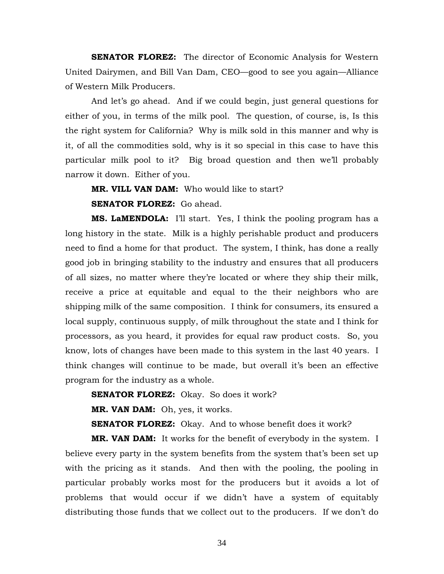**SENATOR FLOREZ:** The director of Economic Analysis for Western United Dairymen, and Bill Van Dam, CEO—good to see you again—Alliance of Western Milk Producers.

 And let's go ahead. And if we could begin, just general questions for either of you, in terms of the milk pool. The question, of course, is, Is this the right system for California? Why is milk sold in this manner and why is it, of all the commodities sold, why is it so special in this case to have this particular milk pool to it? Big broad question and then we'll probably narrow it down. Either of you.

**MR. VILL VAN DAM:** Who would like to start? **SENATOR FLOREZ:** Go ahead.

**MS. LaMENDOLA:** I'll start. Yes, I think the pooling program has a long history in the state. Milk is a highly perishable product and producers need to find a home for that product. The system, I think, has done a really good job in bringing stability to the industry and ensures that all producers of all sizes, no matter where they're located or where they ship their milk, receive a price at equitable and equal to the their neighbors who are shipping milk of the same composition. I think for consumers, its ensured a local supply, continuous supply, of milk throughout the state and I think for processors, as you heard, it provides for equal raw product costs. So, you know, lots of changes have been made to this system in the last 40 years. I think changes will continue to be made, but overall it's been an effective program for the industry as a whole.

**SENATOR FLOREZ:** Okay. So does it work?

**MR. VAN DAM:** Oh, yes, it works.

**SENATOR FLOREZ:** Okay. And to whose benefit does it work?

**MR. VAN DAM:** It works for the benefit of everybody in the system. I believe every party in the system benefits from the system that's been set up with the pricing as it stands. And then with the pooling, the pooling in particular probably works most for the producers but it avoids a lot of problems that would occur if we didn't have a system of equitably distributing those funds that we collect out to the producers. If we don't do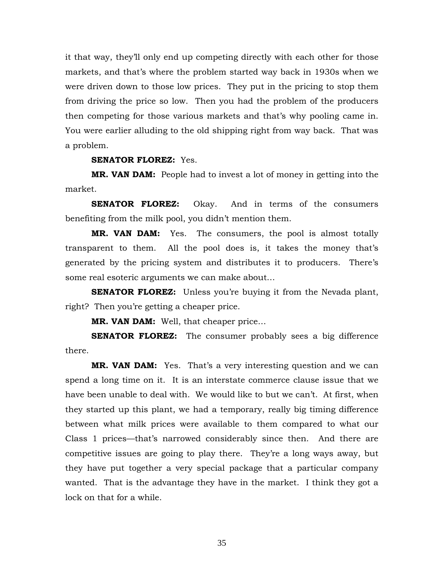it that way, they'll only end up competing directly with each other for those markets, and that's where the problem started way back in 1930s when we were driven down to those low prices. They put in the pricing to stop them from driving the price so low. Then you had the problem of the producers then competing for those various markets and that's why pooling came in. You were earlier alluding to the old shipping right from way back. That was a problem.

#### **SENATOR FLOREZ:** Yes.

**MR. VAN DAM:** People had to invest a lot of money in getting into the market.

**SENATOR FLOREZ:** Okay. And in terms of the consumers benefiting from the milk pool, you didn't mention them.

**MR. VAN DAM:** Yes. The consumers, the pool is almost totally transparent to them. All the pool does is, it takes the money that's generated by the pricing system and distributes it to producers. There's some real esoteric arguments we can make about…

**SENATOR FLOREZ:** Unless you're buying it from the Nevada plant, right? Then you're getting a cheaper price.

**MR. VAN DAM:** Well, that cheaper price…

**SENATOR FLOREZ:** The consumer probably sees a big difference there.

**MR. VAN DAM:** Yes. That's a very interesting question and we can spend a long time on it. It is an interstate commerce clause issue that we have been unable to deal with. We would like to but we can't. At first, when they started up this plant, we had a temporary, really big timing difference between what milk prices were available to them compared to what our Class 1 prices—that's narrowed considerably since then. And there are competitive issues are going to play there. They're a long ways away, but they have put together a very special package that a particular company wanted. That is the advantage they have in the market. I think they got a lock on that for a while.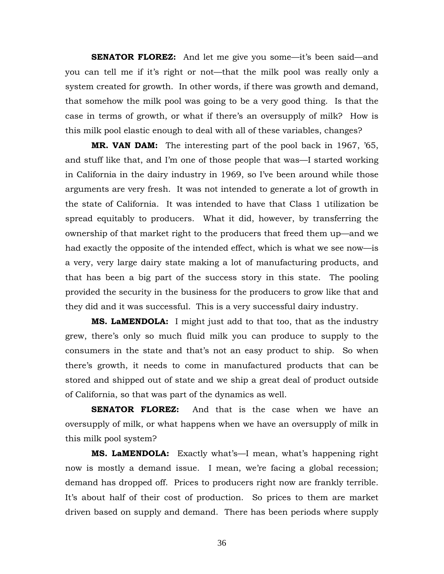**SENATOR FLOREZ:** And let me give you some—it's been said—and you can tell me if it's right or not—that the milk pool was really only a system created for growth. In other words, if there was growth and demand, that somehow the milk pool was going to be a very good thing. Is that the case in terms of growth, or what if there's an oversupply of milk? How is this milk pool elastic enough to deal with all of these variables, changes?

**MR. VAN DAM:** The interesting part of the pool back in 1967, '65, and stuff like that, and I'm one of those people that was—I started working in California in the dairy industry in 1969, so I've been around while those arguments are very fresh. It was not intended to generate a lot of growth in the state of California. It was intended to have that Class 1 utilization be spread equitably to producers. What it did, however, by transferring the ownership of that market right to the producers that freed them up—and we had exactly the opposite of the intended effect, which is what we see now—is a very, very large dairy state making a lot of manufacturing products, and that has been a big part of the success story in this state. The pooling provided the security in the business for the producers to grow like that and they did and it was successful. This is a very successful dairy industry.

**MS. LaMENDOLA:** I might just add to that too, that as the industry grew, there's only so much fluid milk you can produce to supply to the consumers in the state and that's not an easy product to ship. So when there's growth, it needs to come in manufactured products that can be stored and shipped out of state and we ship a great deal of product outside of California, so that was part of the dynamics as well.

**SENATOR FLOREZ:** And that is the case when we have an oversupply of milk, or what happens when we have an oversupply of milk in this milk pool system?

**MS. LaMENDOLA:** Exactly what's—I mean, what's happening right now is mostly a demand issue. I mean, we're facing a global recession; demand has dropped off. Prices to producers right now are frankly terrible. It's about half of their cost of production. So prices to them are market driven based on supply and demand. There has been periods where supply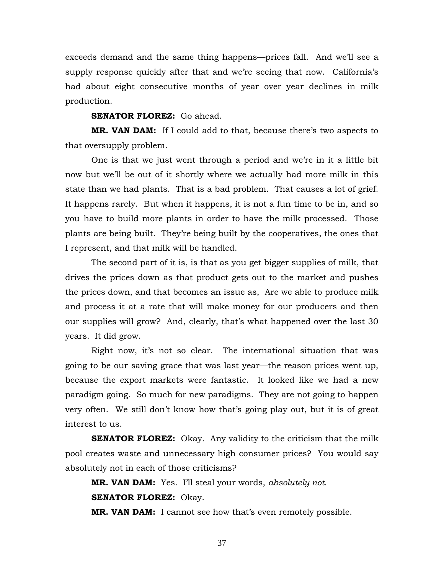exceeds demand and the same thing happens—prices fall. And we'll see a supply response quickly after that and we're seeing that now. California's had about eight consecutive months of year over year declines in milk production.

# **SENATOR FLOREZ:** Go ahead.

**MR. VAN DAM:** If I could add to that, because there's two aspects to that oversupply problem.

 One is that we just went through a period and we're in it a little bit now but we'll be out of it shortly where we actually had more milk in this state than we had plants. That is a bad problem. That causes a lot of grief. It happens rarely. But when it happens, it is not a fun time to be in, and so you have to build more plants in order to have the milk processed. Those plants are being built. They're being built by the cooperatives, the ones that I represent, and that milk will be handled.

 The second part of it is, is that as you get bigger supplies of milk, that drives the prices down as that product gets out to the market and pushes the prices down, and that becomes an issue as, Are we able to produce milk and process it at a rate that will make money for our producers and then our supplies will grow? And, clearly, that's what happened over the last 30 years. It did grow.

 Right now, it's not so clear. The international situation that was going to be our saving grace that was last year—the reason prices went up, because the export markets were fantastic. It looked like we had a new paradigm going. So much for new paradigms. They are not going to happen very often. We still don't know how that's going play out, but it is of great interest to us.

**SENATOR FLOREZ:** Okay. Any validity to the criticism that the milk pool creates waste and unnecessary high consumer prices? You would say absolutely not in each of those criticisms?

**MR. VAN DAM:** Yes. I'll steal your words, *absolutely not*. **SENATOR FLOREZ:** Okay.

**MR. VAN DAM:** I cannot see how that's even remotely possible.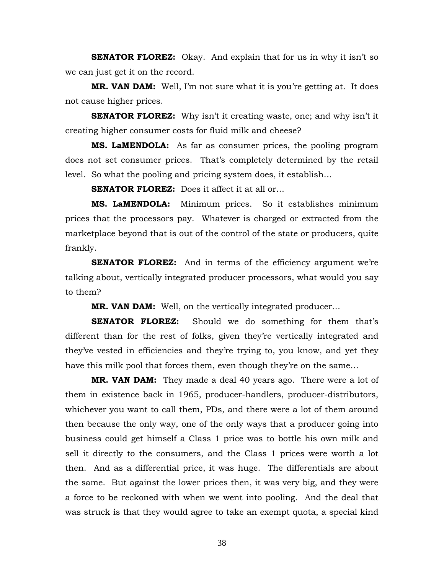**SENATOR FLOREZ:** Okay. And explain that for us in why it isn't so we can just get it on the record.

**MR. VAN DAM:** Well, I'm not sure what it is you're getting at. It does not cause higher prices.

**SENATOR FLOREZ:** Why isn't it creating waste, one; and why isn't it creating higher consumer costs for fluid milk and cheese?

**MS. LaMENDOLA:** As far as consumer prices, the pooling program does not set consumer prices. That's completely determined by the retail level. So what the pooling and pricing system does, it establish…

**SENATOR FLOREZ:** Does it affect it at all or…

**MS. LaMENDOLA:** Minimum prices. So it establishes minimum prices that the processors pay. Whatever is charged or extracted from the marketplace beyond that is out of the control of the state or producers, quite frankly.

**SENATOR FLOREZ:** And in terms of the efficiency argument we're talking about, vertically integrated producer processors, what would you say to them?

**MR. VAN DAM:** Well, on the vertically integrated producer…

**SENATOR FLOREZ:** Should we do something for them that's different than for the rest of folks, given they're vertically integrated and they've vested in efficiencies and they're trying to, you know, and yet they have this milk pool that forces them, even though they're on the same…

**MR. VAN DAM:** They made a deal 40 years ago. There were a lot of them in existence back in 1965, producer-handlers, producer-distributors, whichever you want to call them, PDs, and there were a lot of them around then because the only way, one of the only ways that a producer going into business could get himself a Class 1 price was to bottle his own milk and sell it directly to the consumers, and the Class 1 prices were worth a lot then. And as a differential price, it was huge. The differentials are about the same. But against the lower prices then, it was very big, and they were a force to be reckoned with when we went into pooling. And the deal that was struck is that they would agree to take an exempt quota, a special kind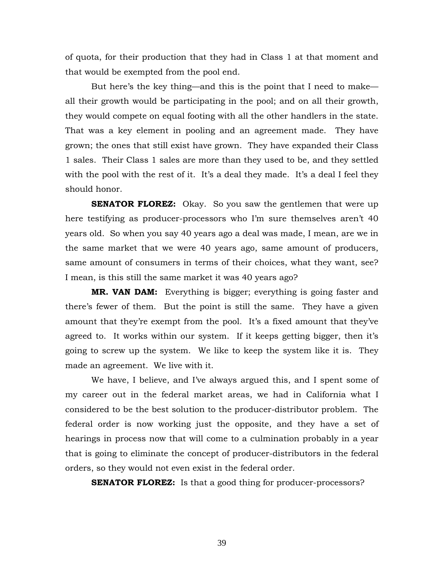of quota, for their production that they had in Class 1 at that moment and that would be exempted from the pool end.

 But here's the key thing—and this is the point that I need to make all their growth would be participating in the pool; and on all their growth, they would compete on equal footing with all the other handlers in the state. That was a key element in pooling and an agreement made. They have grown; the ones that still exist have grown. They have expanded their Class 1 sales. Their Class 1 sales are more than they used to be, and they settled with the pool with the rest of it. It's a deal they made. It's a deal I feel they should honor.

**SENATOR FLOREZ:** Okay. So you saw the gentlemen that were up here testifying as producer-processors who I'm sure themselves aren't 40 years old. So when you say 40 years ago a deal was made, I mean, are we in the same market that we were 40 years ago, same amount of producers, same amount of consumers in terms of their choices, what they want, see? I mean, is this still the same market it was 40 years ago?

**MR. VAN DAM:** Everything is bigger; everything is going faster and there's fewer of them. But the point is still the same. They have a given amount that they're exempt from the pool. It's a fixed amount that they've agreed to. It works within our system. If it keeps getting bigger, then it's going to screw up the system. We like to keep the system like it is. They made an agreement. We live with it.

 We have, I believe, and I've always argued this, and I spent some of my career out in the federal market areas, we had in California what I considered to be the best solution to the producer-distributor problem. The federal order is now working just the opposite, and they have a set of hearings in process now that will come to a culmination probably in a year that is going to eliminate the concept of producer-distributors in the federal orders, so they would not even exist in the federal order.

**SENATOR FLOREZ:** Is that a good thing for producer-processors?

39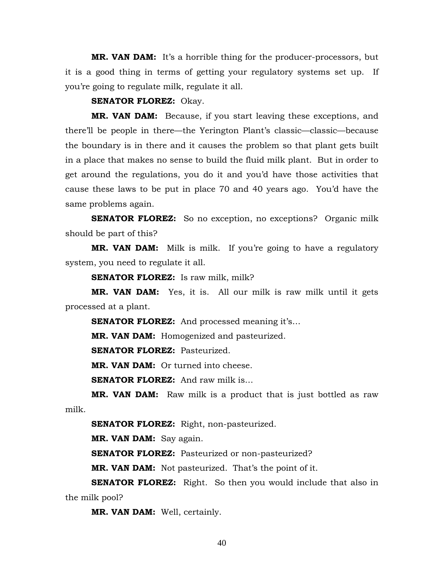**MR. VAN DAM:** It's a horrible thing for the producer-processors, but it is a good thing in terms of getting your regulatory systems set up. If you're going to regulate milk, regulate it all.

**SENATOR FLOREZ:** Okay.

**MR. VAN DAM:** Because, if you start leaving these exceptions, and there'll be people in there—the Yerington Plant's classic—classic—because the boundary is in there and it causes the problem so that plant gets built in a place that makes no sense to build the fluid milk plant. But in order to get around the regulations, you do it and you'd have those activities that cause these laws to be put in place 70 and 40 years ago. You'd have the same problems again.

**SENATOR FLOREZ:** So no exception, no exceptions? Organic milk should be part of this?

**MR. VAN DAM:** Milk is milk. If you're going to have a regulatory system, you need to regulate it all.

**SENATOR FLOREZ:** Is raw milk, milk?

**MR. VAN DAM:** Yes, it is. All our milk is raw milk until it gets processed at a plant.

**SENATOR FLOREZ:** And processed meaning it's...

**MR. VAN DAM:** Homogenized and pasteurized.

**SENATOR FLOREZ:** Pasteurized.

**MR. VAN DAM:** Or turned into cheese.

**SENATOR FLOREZ:** And raw milk is...

**MR. VAN DAM:** Raw milk is a product that is just bottled as raw milk.

**SENATOR FLOREZ:** Right, non-pasteurized.

**MR. VAN DAM:** Say again.

**SENATOR FLOREZ:** Pasteurized or non-pasteurized?

**MR. VAN DAM:** Not pasteurized. That's the point of it.

**SENATOR FLOREZ:** Right. So then you would include that also in the milk pool?

**MR. VAN DAM:** Well, certainly.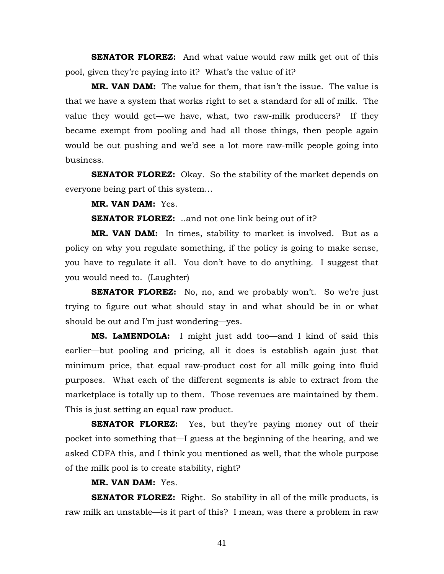**SENATOR FLOREZ:** And what value would raw milk get out of this pool, given they're paying into it? What's the value of it?

**MR. VAN DAM:** The value for them, that isn't the issue. The value is that we have a system that works right to set a standard for all of milk. The value they would get—we have, what, two raw-milk producers? If they became exempt from pooling and had all those things, then people again would be out pushing and we'd see a lot more raw-milk people going into business.

**SENATOR FLOREZ:** Okay. So the stability of the market depends on everyone being part of this system…

**MR. VAN DAM:** Yes.

**SENATOR FLOREZ:** ..and not one link being out of it?

**MR. VAN DAM:** In times, stability to market is involved. But as a policy on why you regulate something, if the policy is going to make sense, you have to regulate it all. You don't have to do anything. I suggest that you would need to. (Laughter)

**SENATOR FLOREZ:** No, no, and we probably won't. So we're just trying to figure out what should stay in and what should be in or what should be out and I'm just wondering—yes.

**MS. LaMENDOLA:** I might just add too—and I kind of said this earlier—but pooling and pricing, all it does is establish again just that minimum price, that equal raw-product cost for all milk going into fluid purposes. What each of the different segments is able to extract from the marketplace is totally up to them. Those revenues are maintained by them. This is just setting an equal raw product.

**SENATOR FLOREZ:** Yes, but they're paying money out of their pocket into something that—I guess at the beginning of the hearing, and we asked CDFA this, and I think you mentioned as well, that the whole purpose of the milk pool is to create stability, right?

# **MR. VAN DAM:** Yes.

**SENATOR FLOREZ:** Right. So stability in all of the milk products, is raw milk an unstable—is it part of this? I mean, was there a problem in raw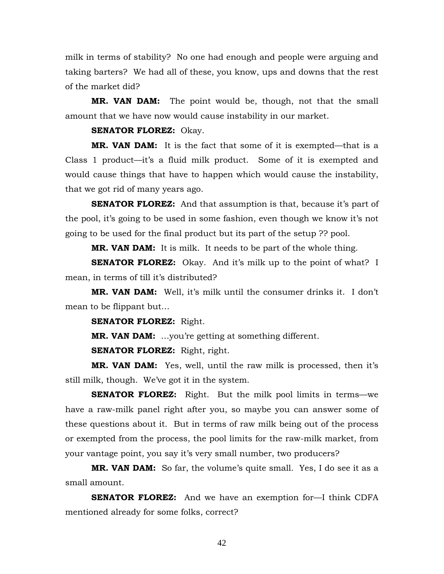milk in terms of stability? No one had enough and people were arguing and taking barters? We had all of these, you know, ups and downs that the rest of the market did?

**MR. VAN DAM:** The point would be, though, not that the small amount that we have now would cause instability in our market.

## **SENATOR FLOREZ:** Okay.

**MR. VAN DAM:** It is the fact that some of it is exempted—that is a Class 1 product—it's a fluid milk product. Some of it is exempted and would cause things that have to happen which would cause the instability, that we got rid of many years ago.

**SENATOR FLOREZ:** And that assumption is that, because it's part of the pool, it's going to be used in some fashion, even though we know it's not going to be used for the final product but its part of the setup ?? pool.

**MR. VAN DAM:** It is milk. It needs to be part of the whole thing.

**SENATOR FLOREZ:** Okay. And it's milk up to the point of what? I mean, in terms of till it's distributed?

**MR. VAN DAM:** Well, it's milk until the consumer drinks it. I don't mean to be flippant but…

**SENATOR FLOREZ:** Right.

**MR. VAN DAM:** …you're getting at something different.

**SENATOR FLOREZ:** Right, right.

**MR. VAN DAM:** Yes, well, until the raw milk is processed, then it's still milk, though. We've got it in the system.

**SENATOR FLOREZ:** Right. But the milk pool limits in terms—we have a raw-milk panel right after you, so maybe you can answer some of these questions about it. But in terms of raw milk being out of the process or exempted from the process, the pool limits for the raw-milk market, from your vantage point, you say it's very small number, two producers?

**MR. VAN DAM:** So far, the volume's quite small. Yes, I do see it as a small amount.

**SENATOR FLOREZ:** And we have an exemption for—I think CDFA mentioned already for some folks, correct?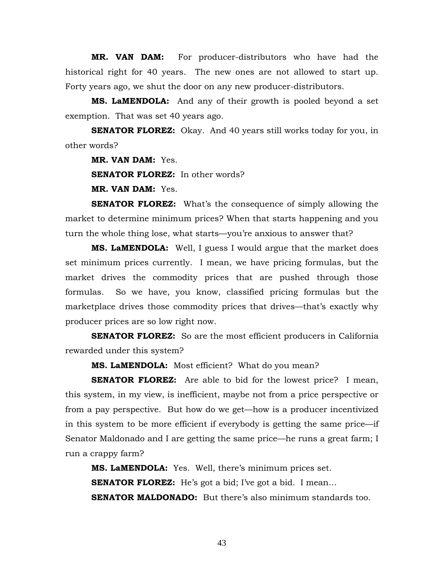**MR. VAN DAM:** For producer-distributors who have had the historical right for 40 years. The new ones are not allowed to start up. Forty years ago, we shut the door on any new producer-distributors.

**MS. LaMENDOLA:** And any of their growth is pooled beyond a set exemption. That was set 40 years ago.

**SENATOR FLOREZ:** Okay. And 40 years still works today for you, in other words?

**MR. VAN DAM:** Yes.

**SENATOR FLOREZ:** In other words?

**MR. VAN DAM:** Yes.

**SENATOR FLOREZ:** What's the consequence of simply allowing the market to determine minimum prices? When that starts happening and you turn the whole thing lose, what starts—you're anxious to answer that?

**MS. LaMENDOLA:** Well, I guess I would argue that the market does set minimum prices currently. I mean, we have pricing formulas, but the market drives the commodity prices that are pushed through those formulas. So we have, you know, classified pricing formulas but the marketplace drives those commodity prices that drives—that's exactly why producer prices are so low right now.

**SENATOR FLOREZ:** So are the most efficient producers in California rewarded under this system?

**MS. LaMENDOLA:** Most efficient? What do you mean?

**SENATOR FLOREZ:** Are able to bid for the lowest price? I mean, this system, in my view, is inefficient, maybe not from a price perspective or from a pay perspective. But how do we get—how is a producer incentivized in this system to be more efficient if everybody is getting the same price—if Senator Maldonado and I are getting the same price—he runs a great farm; I run a crappy farm?

**MS. LaMENDOLA:** Yes. Well, there's minimum prices set. **SENATOR FLOREZ:** He's got a bid; I've got a bid. I mean... **SENATOR MALDONADO:** But there's also minimum standards too.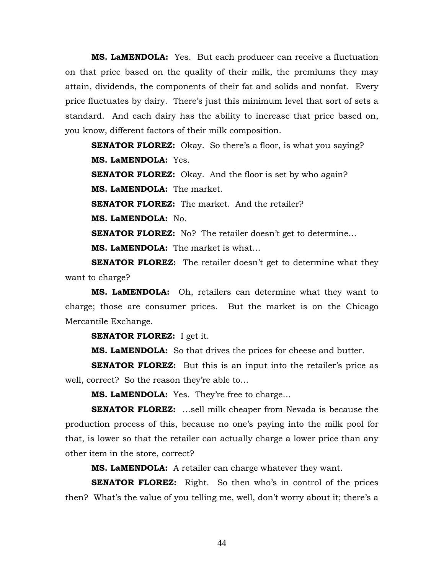**MS. LaMENDOLA:** Yes. But each producer can receive a fluctuation on that price based on the quality of their milk, the premiums they may attain, dividends, the components of their fat and solids and nonfat. Every price fluctuates by dairy. There's just this minimum level that sort of sets a standard. And each dairy has the ability to increase that price based on, you know, different factors of their milk composition.

**SENATOR FLOREZ:** Okay. So there's a floor, is what you saying? **MS. LaMENDOLA:** Yes. **SENATOR FLOREZ:** Okay. And the floor is set by who again? **MS. LaMENDOLA:** The market. **SENATOR FLOREZ:** The market. And the retailer? **MS. LaMENDOLA:** No. **SENATOR FLOREZ:** No? The retailer doesn't get to determine... **MS. LaMENDOLA:** The market is what…

**SENATOR FLOREZ:** The retailer doesn't get to determine what they want to charge?

**MS. LaMENDOLA:** Oh, retailers can determine what they want to charge; those are consumer prices. But the market is on the Chicago Mercantile Exchange.

**SENATOR FLOREZ:** I get it.

**MS. LaMENDOLA:** So that drives the prices for cheese and butter.

**SENATOR FLOREZ:** But this is an input into the retailer's price as well, correct? So the reason they're able to…

**MS. LaMENDOLA:** Yes. They're free to charge…

**SENATOR FLOREZ:** …sell milk cheaper from Nevada is because the production process of this, because no one's paying into the milk pool for that, is lower so that the retailer can actually charge a lower price than any other item in the store, correct?

**MS. LaMENDOLA:** A retailer can charge whatever they want.

**SENATOR FLOREZ:** Right. So then who's in control of the prices then? What's the value of you telling me, well, don't worry about it; there's a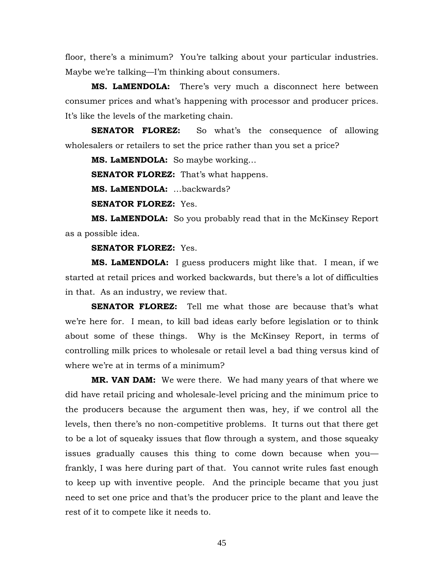floor, there's a minimum? You're talking about your particular industries. Maybe we're talking—I'm thinking about consumers.

**MS. LaMENDOLA:** There's very much a disconnect here between consumer prices and what's happening with processor and producer prices. It's like the levels of the marketing chain.

**SENATOR FLOREZ:** So what's the consequence of allowing wholesalers or retailers to set the price rather than you set a price?

**MS. LaMENDOLA:** So maybe working…

**SENATOR FLOREZ:** That's what happens.

**MS. LaMENDOLA:** …backwards?

**SENATOR FLOREZ:** Yes.

**MS. LaMENDOLA:** So you probably read that in the McKinsey Report as a possible idea.

# **SENATOR FLOREZ:** Yes.

**MS. LaMENDOLA:** I guess producers might like that. I mean, if we started at retail prices and worked backwards, but there's a lot of difficulties in that. As an industry, we review that.

**SENATOR FLOREZ:** Tell me what those are because that's what we're here for. I mean, to kill bad ideas early before legislation or to think about some of these things. Why is the McKinsey Report, in terms of controlling milk prices to wholesale or retail level a bad thing versus kind of where we're at in terms of a minimum?

**MR. VAN DAM:** We were there. We had many years of that where we did have retail pricing and wholesale-level pricing and the minimum price to the producers because the argument then was, hey, if we control all the levels, then there's no non-competitive problems. It turns out that there get to be a lot of squeaky issues that flow through a system, and those squeaky issues gradually causes this thing to come down because when you frankly, I was here during part of that. You cannot write rules fast enough to keep up with inventive people. And the principle became that you just need to set one price and that's the producer price to the plant and leave the rest of it to compete like it needs to.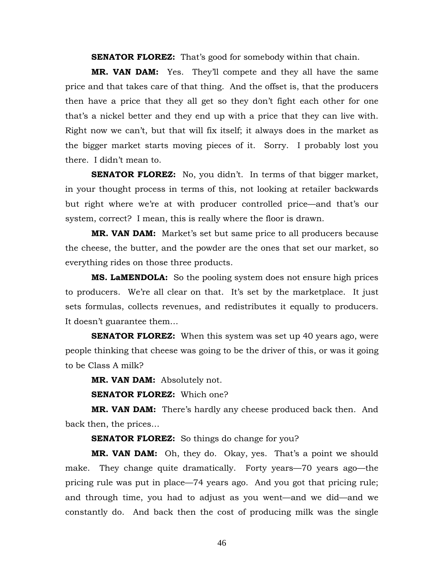**SENATOR FLOREZ:** That's good for somebody within that chain.

**MR. VAN DAM:** Yes. They'll compete and they all have the same price and that takes care of that thing. And the offset is, that the producers then have a price that they all get so they don't fight each other for one that's a nickel better and they end up with a price that they can live with. Right now we can't, but that will fix itself; it always does in the market as the bigger market starts moving pieces of it. Sorry. I probably lost you there. I didn't mean to.

**SENATOR FLOREZ:** No, you didn't. In terms of that bigger market, in your thought process in terms of this, not looking at retailer backwards but right where we're at with producer controlled price—and that's our system, correct? I mean, this is really where the floor is drawn.

**MR. VAN DAM:** Market's set but same price to all producers because the cheese, the butter, and the powder are the ones that set our market, so everything rides on those three products.

**MS. LaMENDOLA:** So the pooling system does not ensure high prices to producers. We're all clear on that. It's set by the marketplace. It just sets formulas, collects revenues, and redistributes it equally to producers. It doesn't guarantee them…

**SENATOR FLOREZ:** When this system was set up 40 years ago, were people thinking that cheese was going to be the driver of this, or was it going to be Class A milk?

**MR. VAN DAM:** Absolutely not.

**SENATOR FLOREZ:** Which one?

**MR. VAN DAM:** There's hardly any cheese produced back then. And back then, the prices…

**SENATOR FLOREZ:** So things do change for you?

**MR. VAN DAM:** Oh, they do. Okay, yes. That's a point we should make. They change quite dramatically. Forty years—70 years ago—the pricing rule was put in place—74 years ago. And you got that pricing rule; and through time, you had to adjust as you went—and we did—and we constantly do. And back then the cost of producing milk was the single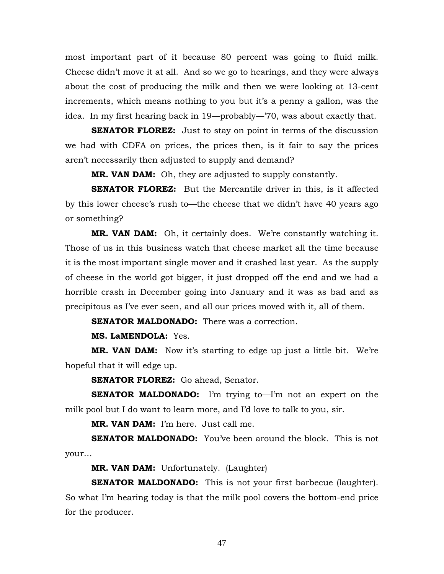most important part of it because 80 percent was going to fluid milk. Cheese didn't move it at all. And so we go to hearings, and they were always about the cost of producing the milk and then we were looking at 13-cent increments, which means nothing to you but it's a penny a gallon, was the idea. In my first hearing back in 19—probably—'70, was about exactly that.

**SENATOR FLOREZ:** Just to stay on point in terms of the discussion we had with CDFA on prices, the prices then, is it fair to say the prices aren't necessarily then adjusted to supply and demand?

**MR. VAN DAM:** Oh, they are adjusted to supply constantly.

**SENATOR FLOREZ:** But the Mercantile driver in this, is it affected by this lower cheese's rush to—the cheese that we didn't have 40 years ago or something?

**MR. VAN DAM:** Oh, it certainly does. We're constantly watching it. Those of us in this business watch that cheese market all the time because it is the most important single mover and it crashed last year. As the supply of cheese in the world got bigger, it just dropped off the end and we had a horrible crash in December going into January and it was as bad and as precipitous as I've ever seen, and all our prices moved with it, all of them.

**SENATOR MALDONADO:** There was a correction.

**MS. LaMENDOLA:** Yes.

**MR. VAN DAM:** Now it's starting to edge up just a little bit. We're hopeful that it will edge up.

**SENATOR FLOREZ:** Go ahead, Senator.

**SENATOR MALDONADO:** I'm trying to—I'm not an expert on the milk pool but I do want to learn more, and I'd love to talk to you, sir.

**MR. VAN DAM:** I'm here. Just call me.

**SENATOR MALDONADO:** You've been around the block. This is not your…

**MR. VAN DAM:** Unfortunately. (Laughter)

**SENATOR MALDONADO:** This is not your first barbecue (laughter). So what I'm hearing today is that the milk pool covers the bottom-end price for the producer.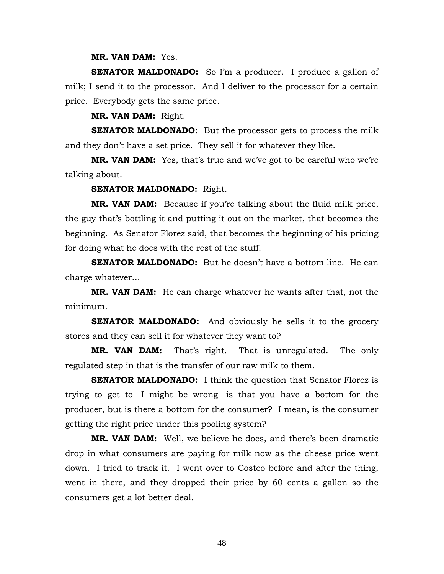## **MR. VAN DAM:** Yes.

**SENATOR MALDONADO:** So I'm a producer. I produce a gallon of milk; I send it to the processor. And I deliver to the processor for a certain price. Everybody gets the same price.

**MR. VAN DAM:** Right.

**SENATOR MALDONADO:** But the processor gets to process the milk and they don't have a set price. They sell it for whatever they like.

**MR. VAN DAM:** Yes, that's true and we've got to be careful who we're talking about.

### **SENATOR MALDONADO:** Right.

**MR. VAN DAM:** Because if you're talking about the fluid milk price, the guy that's bottling it and putting it out on the market, that becomes the beginning. As Senator Florez said, that becomes the beginning of his pricing for doing what he does with the rest of the stuff.

**SENATOR MALDONADO:** But he doesn't have a bottom line. He can charge whatever…

**MR. VAN DAM:** He can charge whatever he wants after that, not the minimum.

**SENATOR MALDONADO:** And obviously he sells it to the grocery stores and they can sell it for whatever they want to?

**MR. VAN DAM:** That's right. That is unregulated. The only regulated step in that is the transfer of our raw milk to them.

**SENATOR MALDONADO:** I think the question that Senator Florez is trying to get to—I might be wrong—is that you have a bottom for the producer, but is there a bottom for the consumer? I mean, is the consumer getting the right price under this pooling system?

**MR. VAN DAM:** Well, we believe he does, and there's been dramatic drop in what consumers are paying for milk now as the cheese price went down. I tried to track it. I went over to Costco before and after the thing, went in there, and they dropped their price by 60 cents a gallon so the consumers get a lot better deal.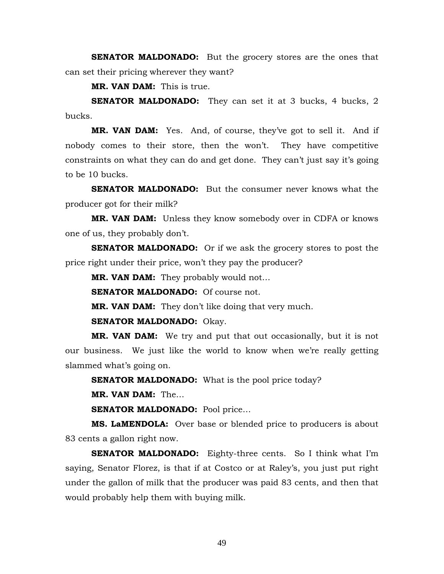**SENATOR MALDONADO:** But the grocery stores are the ones that can set their pricing wherever they want?

**MR. VAN DAM:** This is true.

**SENATOR MALDONADO:** They can set it at 3 bucks, 4 bucks, 2 bucks.

**MR. VAN DAM:** Yes. And, of course, they've got to sell it. And if nobody comes to their store, then the won't. They have competitive constraints on what they can do and get done. They can't just say it's going to be 10 bucks.

**SENATOR MALDONADO:** But the consumer never knows what the producer got for their milk?

**MR. VAN DAM:** Unless they know somebody over in CDFA or knows one of us, they probably don't.

**SENATOR MALDONADO:** Or if we ask the grocery stores to post the price right under their price, won't they pay the producer?

**MR. VAN DAM:** They probably would not…

**SENATOR MALDONADO:** Of course not.

**MR. VAN DAM:** They don't like doing that very much.

**SENATOR MALDONADO:** Okay.

**MR. VAN DAM:** We try and put that out occasionally, but it is not our business. We just like the world to know when we're really getting slammed what's going on.

**SENATOR MALDONADO:** What is the pool price today?

**MR. VAN DAM:** The…

**SENATOR MALDONADO:** Pool price…

**MS. LaMENDOLA:** Over base or blended price to producers is about 83 cents a gallon right now.

**SENATOR MALDONADO:** Eighty-three cents. So I think what I'm saying, Senator Florez, is that if at Costco or at Raley's, you just put right under the gallon of milk that the producer was paid 83 cents, and then that would probably help them with buying milk.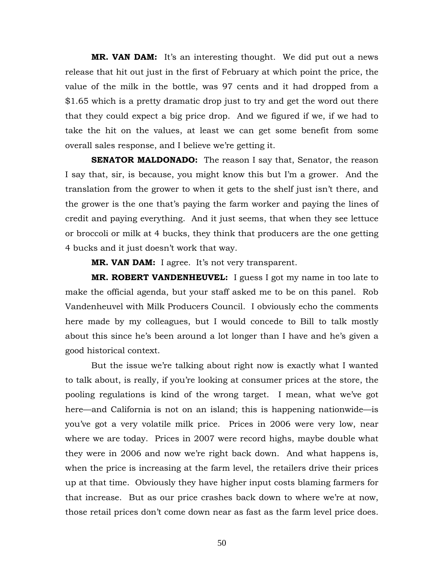**MR. VAN DAM:** It's an interesting thought. We did put out a news release that hit out just in the first of February at which point the price, the value of the milk in the bottle, was 97 cents and it had dropped from a \$1.65 which is a pretty dramatic drop just to try and get the word out there that they could expect a big price drop. And we figured if we, if we had to take the hit on the values, at least we can get some benefit from some overall sales response, and I believe we're getting it.

**SENATOR MALDONADO:** The reason I say that, Senator, the reason I say that, sir, is because, you might know this but I'm a grower. And the translation from the grower to when it gets to the shelf just isn't there, and the grower is the one that's paying the farm worker and paying the lines of credit and paying everything. And it just seems, that when they see lettuce or broccoli or milk at 4 bucks, they think that producers are the one getting 4 bucks and it just doesn't work that way.

**MR. VAN DAM:** I agree. It's not very transparent.

**MR. ROBERT VANDENHEUVEL:** I guess I got my name in too late to make the official agenda, but your staff asked me to be on this panel. Rob Vandenheuvel with Milk Producers Council. I obviously echo the comments here made by my colleagues, but I would concede to Bill to talk mostly about this since he's been around a lot longer than I have and he's given a good historical context.

But the issue we're talking about right now is exactly what I wanted to talk about, is really, if you're looking at consumer prices at the store, the pooling regulations is kind of the wrong target. I mean, what we've got here—and California is not on an island; this is happening nationwide—is you've got a very volatile milk price. Prices in 2006 were very low, near where we are today. Prices in 2007 were record highs, maybe double what they were in 2006 and now we're right back down. And what happens is, when the price is increasing at the farm level, the retailers drive their prices up at that time. Obviously they have higher input costs blaming farmers for that increase. But as our price crashes back down to where we're at now, those retail prices don't come down near as fast as the farm level price does.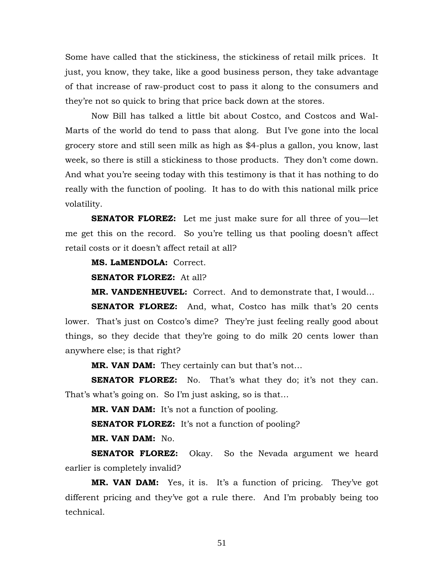Some have called that the stickiness, the stickiness of retail milk prices. It just, you know, they take, like a good business person, they take advantage of that increase of raw-product cost to pass it along to the consumers and they're not so quick to bring that price back down at the stores.

Now Bill has talked a little bit about Costco, and Costcos and Wal-Marts of the world do tend to pass that along. But I've gone into the local grocery store and still seen milk as high as \$4-plus a gallon, you know, last week, so there is still a stickiness to those products. They don't come down. And what you're seeing today with this testimony is that it has nothing to do really with the function of pooling. It has to do with this national milk price volatility.

**SENATOR FLOREZ:** Let me just make sure for all three of you—let me get this on the record. So you're telling us that pooling doesn't affect retail costs or it doesn't affect retail at all?

**MS. LaMENDOLA:** Correct.

**SENATOR FLOREZ:** At all?

**MR. VANDENHEUVEL:** Correct. And to demonstrate that, I would…

**SENATOR FLOREZ:** And, what, Costco has milk that's 20 cents lower. That's just on Costco's dime? They're just feeling really good about things, so they decide that they're going to do milk 20 cents lower than anywhere else; is that right?

**MR. VAN DAM:** They certainly can but that's not…

**SENATOR FLOREZ:** No. That's what they do; it's not they can. That's what's going on. So I'm just asking, so is that…

**MR. VAN DAM:** It's not a function of pooling.

**SENATOR FLOREZ:** It's not a function of pooling?

**MR. VAN DAM:** No.

**SENATOR FLOREZ:** Okay. So the Nevada argument we heard earlier is completely invalid?

**MR. VAN DAM:** Yes, it is. It's a function of pricing. They've got different pricing and they've got a rule there. And I'm probably being too technical.

51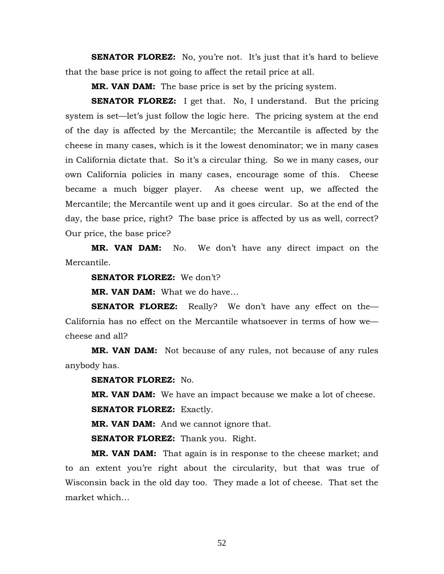**SENATOR FLOREZ:** No, you're not. It's just that it's hard to believe that the base price is not going to affect the retail price at all.

**MR. VAN DAM:** The base price is set by the pricing system.

**SENATOR FLOREZ:** I get that. No, I understand. But the pricing system is set—let's just follow the logic here. The pricing system at the end of the day is affected by the Mercantile; the Mercantile is affected by the cheese in many cases, which is it the lowest denominator; we in many cases in California dictate that. So it's a circular thing. So we in many cases, our own California policies in many cases, encourage some of this. Cheese became a much bigger player. As cheese went up, we affected the Mercantile; the Mercantile went up and it goes circular. So at the end of the day, the base price, right? The base price is affected by us as well, correct? Our price, the base price?

**MR. VAN DAM:** No. We don't have any direct impact on the Mercantile.

**SENATOR FLOREZ:** We don't?

**MR. VAN DAM:** What we do have…

**SENATOR FLOREZ:** Really? We don't have any effect on the California has no effect on the Mercantile whatsoever in terms of how we cheese and all?

**MR. VAN DAM:** Not because of any rules, not because of any rules anybody has.

**SENATOR FLOREZ:** No.

**MR. VAN DAM:** We have an impact because we make a lot of cheese.

**SENATOR FLOREZ: Exactly.** 

**MR. VAN DAM:** And we cannot ignore that.

**SENATOR FLOREZ:** Thank you. Right.

**MR. VAN DAM:** That again is in response to the cheese market; and to an extent you're right about the circularity, but that was true of Wisconsin back in the old day too. They made a lot of cheese. That set the market which…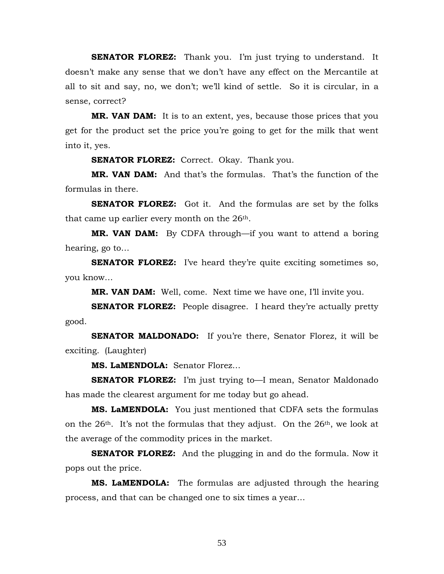**SENATOR FLOREZ:** Thank you. I'm just trying to understand. It doesn't make any sense that we don't have any effect on the Mercantile at all to sit and say, no, we don't; we'll kind of settle. So it is circular, in a sense, correct?

**MR. VAN DAM:** It is to an extent, yes, because those prices that you get for the product set the price you're going to get for the milk that went into it, yes.

**SENATOR FLOREZ:** Correct. Okay. Thank you.

**MR. VAN DAM:** And that's the formulas. That's the function of the formulas in there.

**SENATOR FLOREZ:** Got it. And the formulas are set by the folks that came up earlier every month on the 26th.

**MR. VAN DAM:** By CDFA through—if you want to attend a boring hearing, go to…

**SENATOR FLOREZ:** I've heard they're quite exciting sometimes so, you know…

**MR. VAN DAM:** Well, come. Next time we have one, I'll invite you.

**SENATOR FLOREZ:** People disagree. I heard they're actually pretty good.

**SENATOR MALDONADO:** If you're there, Senator Florez, it will be exciting. (Laughter)

**MS. LaMENDOLA:** Senator Florez…

**SENATOR FLOREZ:** I'm just trying to—I mean, Senator Maldonado has made the clearest argument for me today but go ahead.

**MS. LaMENDOLA:** You just mentioned that CDFA sets the formulas on the  $26<sup>th</sup>$ . It's not the formulas that they adjust. On the  $26<sup>th</sup>$ , we look at the average of the commodity prices in the market.

**SENATOR FLOREZ:** And the plugging in and do the formula. Now it pops out the price.

**MS. LaMENDOLA:** The formulas are adjusted through the hearing process, and that can be changed one to six times a year…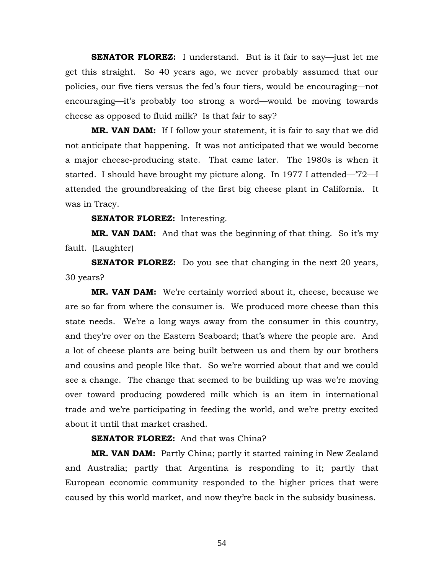**SENATOR FLOREZ:** I understand. But is it fair to say—just let me get this straight. So 40 years ago, we never probably assumed that our policies, our five tiers versus the fed's four tiers, would be encouraging—not encouraging—it's probably too strong a word—would be moving towards cheese as opposed to fluid milk? Is that fair to say?

**MR. VAN DAM:** If I follow your statement, it is fair to say that we did not anticipate that happening. It was not anticipated that we would become a major cheese-producing state. That came later. The 1980s is when it started. I should have brought my picture along. In 1977 I attended—'72—I attended the groundbreaking of the first big cheese plant in California. It was in Tracy.

### **SENATOR FLOREZ:** Interesting.

**MR. VAN DAM:** And that was the beginning of that thing. So it's my fault. (Laughter)

**SENATOR FLOREZ:** Do you see that changing in the next 20 years, 30 years?

**MR. VAN DAM:** We're certainly worried about it, cheese, because we are so far from where the consumer is. We produced more cheese than this state needs. We're a long ways away from the consumer in this country, and they're over on the Eastern Seaboard; that's where the people are. And a lot of cheese plants are being built between us and them by our brothers and cousins and people like that. So we're worried about that and we could see a change. The change that seemed to be building up was we're moving over toward producing powdered milk which is an item in international trade and we're participating in feeding the world, and we're pretty excited about it until that market crashed.

# **SENATOR FLOREZ:** And that was China?

**MR. VAN DAM:** Partly China; partly it started raining in New Zealand and Australia; partly that Argentina is responding to it; partly that European economic community responded to the higher prices that were caused by this world market, and now they're back in the subsidy business.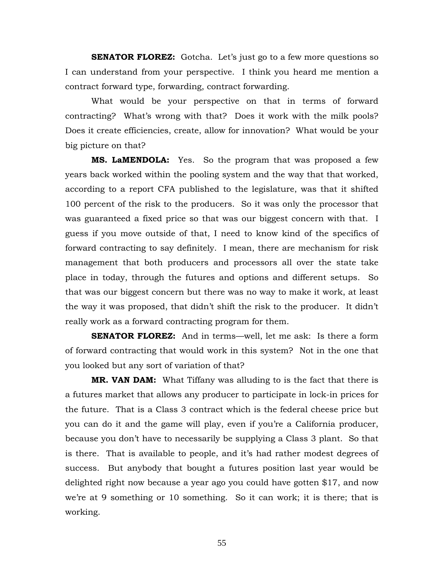**SENATOR FLOREZ:** Gotcha. Let's just go to a few more questions so I can understand from your perspective. I think you heard me mention a contract forward type, forwarding, contract forwarding.

 What would be your perspective on that in terms of forward contracting? What's wrong with that? Does it work with the milk pools? Does it create efficiencies, create, allow for innovation? What would be your big picture on that?

**MS. LaMENDOLA:** Yes. So the program that was proposed a few years back worked within the pooling system and the way that that worked, according to a report CFA published to the legislature, was that it shifted 100 percent of the risk to the producers. So it was only the processor that was guaranteed a fixed price so that was our biggest concern with that. I guess if you move outside of that, I need to know kind of the specifics of forward contracting to say definitely. I mean, there are mechanism for risk management that both producers and processors all over the state take place in today, through the futures and options and different setups. So that was our biggest concern but there was no way to make it work, at least the way it was proposed, that didn't shift the risk to the producer. It didn't really work as a forward contracting program for them.

**SENATOR FLOREZ:** And in terms—well, let me ask: Is there a form of forward contracting that would work in this system? Not in the one that you looked but any sort of variation of that?

**MR. VAN DAM:** What Tiffany was alluding to is the fact that there is a futures market that allows any producer to participate in lock-in prices for the future. That is a Class 3 contract which is the federal cheese price but you can do it and the game will play, even if you're a California producer, because you don't have to necessarily be supplying a Class 3 plant. So that is there. That is available to people, and it's had rather modest degrees of success. But anybody that bought a futures position last year would be delighted right now because a year ago you could have gotten \$17, and now we're at 9 something or 10 something. So it can work; it is there; that is working.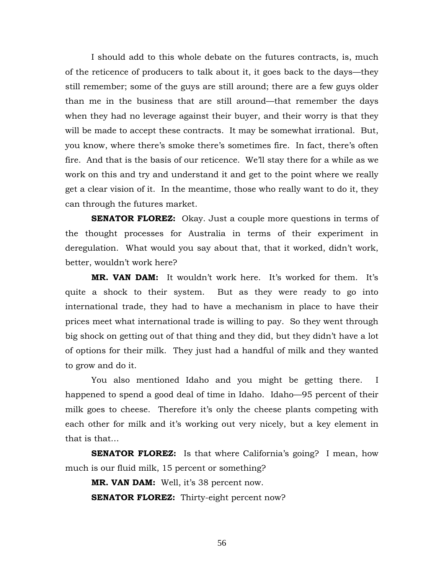I should add to this whole debate on the futures contracts, is, much of the reticence of producers to talk about it, it goes back to the days—they still remember; some of the guys are still around; there are a few guys older than me in the business that are still around—that remember the days when they had no leverage against their buyer, and their worry is that they will be made to accept these contracts. It may be somewhat irrational. But, you know, where there's smoke there's sometimes fire. In fact, there's often fire. And that is the basis of our reticence. We'll stay there for a while as we work on this and try and understand it and get to the point where we really get a clear vision of it. In the meantime, those who really want to do it, they can through the futures market.

**SENATOR FLOREZ:** Okay. Just a couple more questions in terms of the thought processes for Australia in terms of their experiment in deregulation. What would you say about that, that it worked, didn't work, better, wouldn't work here?

**MR. VAN DAM:** It wouldn't work here. It's worked for them. It's quite a shock to their system. But as they were ready to go into international trade, they had to have a mechanism in place to have their prices meet what international trade is willing to pay. So they went through big shock on getting out of that thing and they did, but they didn't have a lot of options for their milk. They just had a handful of milk and they wanted to grow and do it.

You also mentioned Idaho and you might be getting there. I happened to spend a good deal of time in Idaho. Idaho—95 percent of their milk goes to cheese. Therefore it's only the cheese plants competing with each other for milk and it's working out very nicely, but a key element in that is that…

**SENATOR FLOREZ:** Is that where California's going? I mean, how much is our fluid milk, 15 percent or something?

**MR. VAN DAM:** Well, it's 38 percent now.

**SENATOR FLOREZ:** Thirty-eight percent now?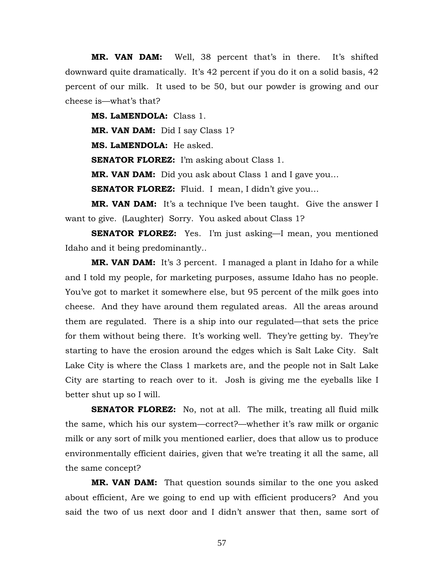**MR. VAN DAM:** Well, 38 percent that's in there. It's shifted downward quite dramatically. It's 42 percent if you do it on a solid basis, 42 percent of our milk. It used to be 50, but our powder is growing and our cheese is—what's that?

**MS. LaMENDOLA:** Class 1.

**MR. VAN DAM:** Did I say Class 1?

**MS. LaMENDOLA:** He asked.

**SENATOR FLOREZ:** I'm asking about Class 1.

**MR. VAN DAM:** Did you ask about Class 1 and I gave you…

**SENATOR FLOREZ:** Fluid. I mean, I didn't give you...

**MR. VAN DAM:** It's a technique I've been taught. Give the answer I want to give. (Laughter) Sorry. You asked about Class 1?

**SENATOR FLOREZ:** Yes. I'm just asking—I mean, you mentioned Idaho and it being predominantly..

**MR. VAN DAM:** It's 3 percent. I managed a plant in Idaho for a while and I told my people, for marketing purposes, assume Idaho has no people. You've got to market it somewhere else, but 95 percent of the milk goes into cheese. And they have around them regulated areas. All the areas around them are regulated. There is a ship into our regulated—that sets the price for them without being there. It's working well. They're getting by. They're starting to have the erosion around the edges which is Salt Lake City. Salt Lake City is where the Class 1 markets are, and the people not in Salt Lake City are starting to reach over to it. Josh is giving me the eyeballs like I better shut up so I will.

**SENATOR FLOREZ:** No, not at all. The milk, treating all fluid milk the same, which his our system—correct?—whether it's raw milk or organic milk or any sort of milk you mentioned earlier, does that allow us to produce environmentally efficient dairies, given that we're treating it all the same, all the same concept?

**MR. VAN DAM:** That question sounds similar to the one you asked about efficient, Are we going to end up with efficient producers? And you said the two of us next door and I didn't answer that then, same sort of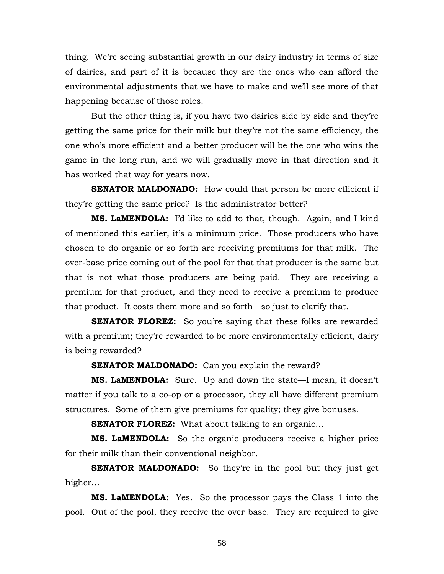thing. We're seeing substantial growth in our dairy industry in terms of size of dairies, and part of it is because they are the ones who can afford the environmental adjustments that we have to make and we'll see more of that happening because of those roles.

But the other thing is, if you have two dairies side by side and they're getting the same price for their milk but they're not the same efficiency, the one who's more efficient and a better producer will be the one who wins the game in the long run, and we will gradually move in that direction and it has worked that way for years now.

**SENATOR MALDONADO:** How could that person be more efficient if they're getting the same price? Is the administrator better?

**MS. LaMENDOLA:** I'd like to add to that, though. Again, and I kind of mentioned this earlier, it's a minimum price. Those producers who have chosen to do organic or so forth are receiving premiums for that milk. The over-base price coming out of the pool for that that producer is the same but that is not what those producers are being paid. They are receiving a premium for that product, and they need to receive a premium to produce that product. It costs them more and so forth—so just to clarify that.

**SENATOR FLOREZ:** So you're saying that these folks are rewarded with a premium; they're rewarded to be more environmentally efficient, dairy is being rewarded?

**SENATOR MALDONADO:** Can you explain the reward?

**MS. LaMENDOLA:** Sure. Up and down the state—I mean, it doesn't matter if you talk to a co-op or a processor, they all have different premium structures. Some of them give premiums for quality; they give bonuses.

**SENATOR FLOREZ:** What about talking to an organic...

**MS. LaMENDOLA:** So the organic producers receive a higher price for their milk than their conventional neighbor.

**SENATOR MALDONADO:** So they're in the pool but they just get higher…

**MS. LaMENDOLA:** Yes. So the processor pays the Class 1 into the pool. Out of the pool, they receive the over base. They are required to give

58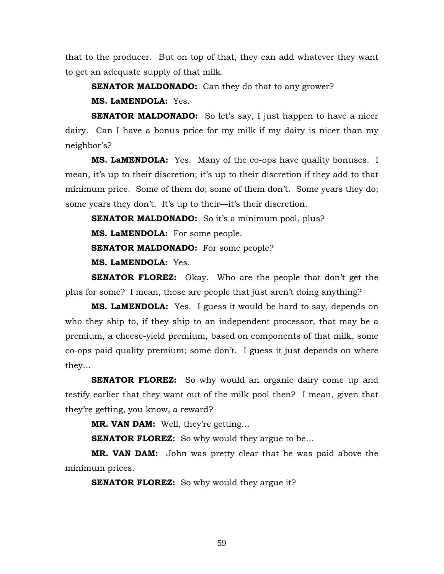that to the producer. But on top of that, they can add whatever they want to get an adequate supply of that milk.

**SENATOR MALDONADO:** Can they do that to any grower? **MS. LaMENDOLA:** Yes.

**SENATOR MALDONADO:** So let's say, I just happen to have a nicer dairy. Can I have a bonus price for my milk if my dairy is nicer than my neighbor's?

**MS. LaMENDOLA:** Yes. Many of the co-ops have quality bonuses. I mean, it's up to their discretion; it's up to their discretion if they add to that minimum price. Some of them do; some of them don't. Some years they do; some years they don't. It's up to their—it's their discretion.

**SENATOR MALDONADO:** So it's a minimum pool, plus?

**MS. LaMENDOLA:** For some people.

**SENATOR MALDONADO:** For some people?

**MS. LaMENDOLA:** Yes.

**SENATOR FLOREZ:** Okay. Who are the people that don't get the plus for some? I mean, those are people that just aren't doing anything?

**MS. LaMENDOLA:** Yes. I guess it would be hard to say, depends on who they ship to, if they ship to an independent processor, that may be a premium, a cheese-yield premium, based on components of that milk, some co-ops paid quality premium; some don't. I guess it just depends on where they…

**SENATOR FLOREZ:** So why would an organic dairy come up and testify earlier that they want out of the milk pool then? I mean, given that they're getting, you know, a reward?

**MR. VAN DAM:** Well, they're getting…

**SENATOR FLOREZ:** So why would they argue to be...

**MR. VAN DAM:** John was pretty clear that he was paid above the minimum prices.

**SENATOR FLOREZ:** So why would they argue it?

59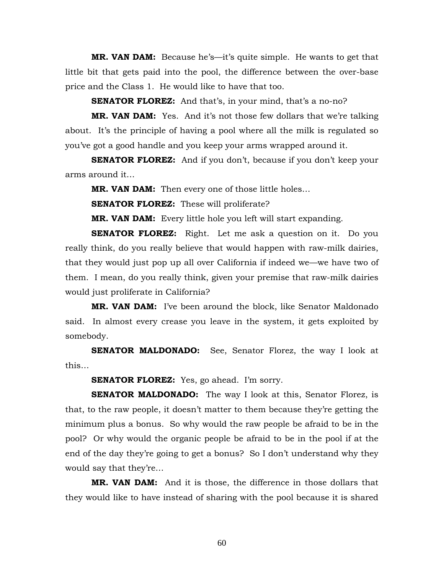**MR. VAN DAM:** Because he's—it's quite simple. He wants to get that little bit that gets paid into the pool, the difference between the over-base price and the Class 1. He would like to have that too.

**SENATOR FLOREZ:** And that's, in your mind, that's a no-no?

**MR. VAN DAM:** Yes. And it's not those few dollars that we're talking about. It's the principle of having a pool where all the milk is regulated so you've got a good handle and you keep your arms wrapped around it.

**SENATOR FLOREZ:** And if you don't, because if you don't keep your arms around it…

**MR. VAN DAM:** Then every one of those little holes…

**SENATOR FLOREZ:** These will proliferate?

**MR. VAN DAM:** Every little hole you left will start expanding.

**SENATOR FLOREZ:** Right. Let me ask a question on it. Do you really think, do you really believe that would happen with raw-milk dairies, that they would just pop up all over California if indeed we—we have two of them. I mean, do you really think, given your premise that raw-milk dairies would just proliferate in California?

**MR. VAN DAM:** I've been around the block, like Senator Maldonado said. In almost every crease you leave in the system, it gets exploited by somebody.

**SENATOR MALDONADO:** See, Senator Florez, the way I look at this…

**SENATOR FLOREZ:** Yes, go ahead. I'm sorry.

**SENATOR MALDONADO:** The way I look at this, Senator Florez, is that, to the raw people, it doesn't matter to them because they're getting the minimum plus a bonus. So why would the raw people be afraid to be in the pool? Or why would the organic people be afraid to be in the pool if at the end of the day they're going to get a bonus? So I don't understand why they would say that they're…

**MR. VAN DAM:** And it is those, the difference in those dollars that they would like to have instead of sharing with the pool because it is shared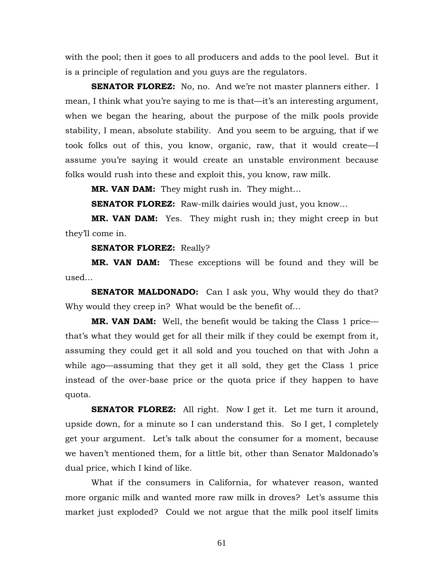with the pool; then it goes to all producers and adds to the pool level. But it is a principle of regulation and you guys are the regulators.

**SENATOR FLOREZ:** No, no. And we're not master planners either. I mean, I think what you're saying to me is that—it's an interesting argument, when we began the hearing, about the purpose of the milk pools provide stability, I mean, absolute stability. And you seem to be arguing, that if we took folks out of this, you know, organic, raw, that it would create—I assume you're saying it would create an unstable environment because folks would rush into these and exploit this, you know, raw milk.

**MR. VAN DAM:** They might rush in. They might…

**SENATOR FLOREZ:** Raw-milk dairies would just, you know…

**MR. VAN DAM:** Yes. They might rush in; they might creep in but they'll come in.

## **SENATOR FLOREZ:** Really?

**MR. VAN DAM:** These exceptions will be found and they will be used…

**SENATOR MALDONADO:** Can I ask you, Why would they do that? Why would they creep in? What would be the benefit of…

**MR. VAN DAM:** Well, the benefit would be taking the Class 1 price that's what they would get for all their milk if they could be exempt from it, assuming they could get it all sold and you touched on that with John a while ago—assuming that they get it all sold, they get the Class 1 price instead of the over-base price or the quota price if they happen to have quota.

**SENATOR FLOREZ:** All right. Now I get it. Let me turn it around, upside down, for a minute so I can understand this. So I get, I completely get your argument. Let's talk about the consumer for a moment, because we haven't mentioned them, for a little bit, other than Senator Maldonado's dual price, which I kind of like.

 What if the consumers in California, for whatever reason, wanted more organic milk and wanted more raw milk in droves? Let's assume this market just exploded? Could we not argue that the milk pool itself limits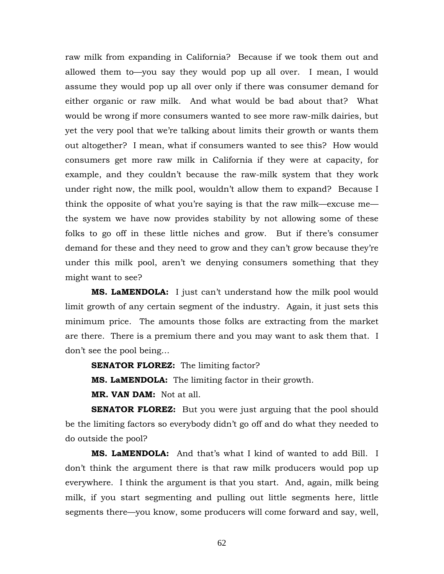raw milk from expanding in California? Because if we took them out and allowed them to—you say they would pop up all over. I mean, I would assume they would pop up all over only if there was consumer demand for either organic or raw milk. And what would be bad about that? What would be wrong if more consumers wanted to see more raw-milk dairies, but yet the very pool that we're talking about limits their growth or wants them out altogether? I mean, what if consumers wanted to see this? How would consumers get more raw milk in California if they were at capacity, for example, and they couldn't because the raw-milk system that they work under right now, the milk pool, wouldn't allow them to expand? Because I think the opposite of what you're saying is that the raw milk—excuse me the system we have now provides stability by not allowing some of these folks to go off in these little niches and grow. But if there's consumer demand for these and they need to grow and they can't grow because they're under this milk pool, aren't we denying consumers something that they might want to see?

**MS. LaMENDOLA:** I just can't understand how the milk pool would limit growth of any certain segment of the industry. Again, it just sets this minimum price. The amounts those folks are extracting from the market are there. There is a premium there and you may want to ask them that. I don't see the pool being…

**SENATOR FLOREZ:** The limiting factor?

**MS. LaMENDOLA:** The limiting factor in their growth.

**MR. VAN DAM:** Not at all.

**SENATOR FLOREZ:** But you were just arguing that the pool should be the limiting factors so everybody didn't go off and do what they needed to do outside the pool?

**MS. LaMENDOLA:** And that's what I kind of wanted to add Bill. I don't think the argument there is that raw milk producers would pop up everywhere. I think the argument is that you start. And, again, milk being milk, if you start segmenting and pulling out little segments here, little segments there—you know, some producers will come forward and say, well,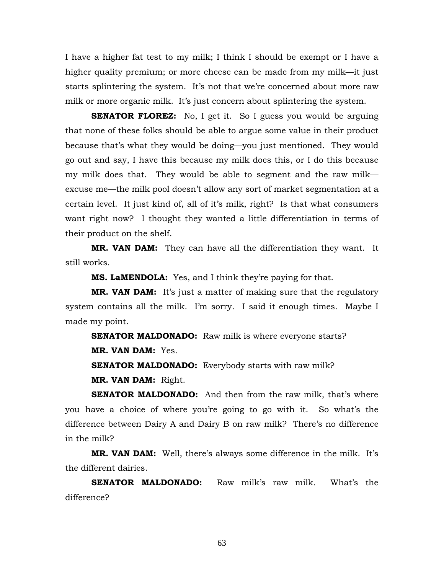I have a higher fat test to my milk; I think I should be exempt or I have a higher quality premium; or more cheese can be made from my milk—it just starts splintering the system. It's not that we're concerned about more raw milk or more organic milk. It's just concern about splintering the system.

**SENATOR FLOREZ:** No, I get it. So I guess you would be arguing that none of these folks should be able to argue some value in their product because that's what they would be doing—you just mentioned. They would go out and say, I have this because my milk does this, or I do this because my milk does that. They would be able to segment and the raw milk excuse me—the milk pool doesn't allow any sort of market segmentation at a certain level. It just kind of, all of it's milk, right? Is that what consumers want right now? I thought they wanted a little differentiation in terms of their product on the shelf.

**MR. VAN DAM:** They can have all the differentiation they want. It still works.

**MS. LaMENDOLA:** Yes, and I think they're paying for that.

**MR. VAN DAM:** It's just a matter of making sure that the regulatory system contains all the milk. I'm sorry. I said it enough times. Maybe I made my point.

**SENATOR MALDONADO:** Raw milk is where everyone starts? **MR. VAN DAM:** Yes. **SENATOR MALDONADO:** Everybody starts with raw milk? **MR. VAN DAM:** Right.

**SENATOR MALDONADO:** And then from the raw milk, that's where you have a choice of where you're going to go with it. So what's the difference between Dairy A and Dairy B on raw milk? There's no difference in the milk?

**MR. VAN DAM:** Well, there's always some difference in the milk. It's the different dairies.

**SENATOR MALDONADO:** Raw milk's raw milk. What's the difference?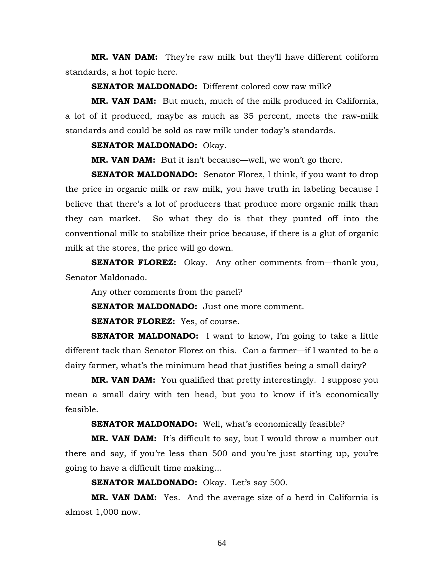**MR. VAN DAM:** They're raw milk but they'll have different coliform standards, a hot topic here.

**SENATOR MALDONADO:** Different colored cow raw milk?

**MR. VAN DAM:** But much, much of the milk produced in California, a lot of it produced, maybe as much as 35 percent, meets the raw-milk standards and could be sold as raw milk under today's standards.

### **SENATOR MALDONADO:** Okay.

**MR. VAN DAM:** But it isn't because—well, we won't go there.

**SENATOR MALDONADO:** Senator Florez, I think, if you want to drop the price in organic milk or raw milk, you have truth in labeling because I believe that there's a lot of producers that produce more organic milk than they can market. So what they do is that they punted off into the conventional milk to stabilize their price because, if there is a glut of organic milk at the stores, the price will go down.

**SENATOR FLOREZ:** Okay. Any other comments from—thank you, Senator Maldonado.

Any other comments from the panel?

**SENATOR MALDONADO:** Just one more comment.

**SENATOR FLOREZ:** Yes, of course.

**SENATOR MALDONADO:** I want to know, I'm going to take a little different tack than Senator Florez on this. Can a farmer—if I wanted to be a dairy farmer, what's the minimum head that justifies being a small dairy?

**MR. VAN DAM:** You qualified that pretty interestingly. I suppose you mean a small dairy with ten head, but you to know if it's economically feasible.

**SENATOR MALDONADO:** Well, what's economically feasible?

**MR. VAN DAM:** It's difficult to say, but I would throw a number out there and say, if you're less than 500 and you're just starting up, you're going to have a difficult time making…

**SENATOR MALDONADO:** Okay. Let's say 500.

**MR. VAN DAM:** Yes. And the average size of a herd in California is almost 1,000 now.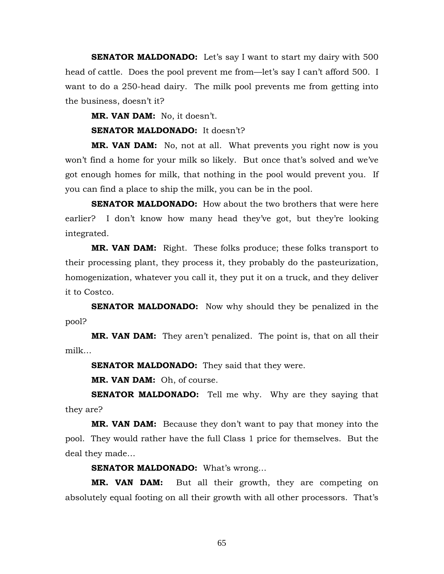**SENATOR MALDONADO:** Let's say I want to start my dairy with 500 head of cattle. Does the pool prevent me from—let's say I can't afford 500. I want to do a 250-head dairy. The milk pool prevents me from getting into the business, doesn't it?

**MR. VAN DAM:** No, it doesn't.

**SENATOR MALDONADO:** It doesn't?

**MR. VAN DAM:** No, not at all. What prevents you right now is you won't find a home for your milk so likely. But once that's solved and we've got enough homes for milk, that nothing in the pool would prevent you. If you can find a place to ship the milk, you can be in the pool.

**SENATOR MALDONADO:** How about the two brothers that were here earlier? I don't know how many head they've got, but they're looking integrated.

**MR. VAN DAM:** Right. These folks produce; these folks transport to their processing plant, they process it, they probably do the pasteurization, homogenization, whatever you call it, they put it on a truck, and they deliver it to Costco.

**SENATOR MALDONADO:** Now why should they be penalized in the pool?

**MR. VAN DAM:** They aren't penalized. The point is, that on all their milk…

**SENATOR MALDONADO:** They said that they were.

**MR. VAN DAM:** Oh, of course.

**SENATOR MALDONADO:** Tell me why. Why are they saying that they are?

**MR. VAN DAM:** Because they don't want to pay that money into the pool. They would rather have the full Class 1 price for themselves. But the deal they made…

**SENATOR MALDONADO:** What's wrong…

**MR. VAN DAM:** But all their growth, they are competing on absolutely equal footing on all their growth with all other processors. That's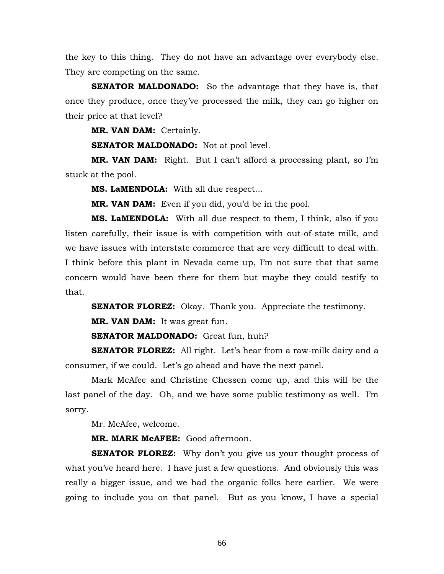the key to this thing. They do not have an advantage over everybody else. They are competing on the same.

**SENATOR MALDONADO:** So the advantage that they have is, that once they produce, once they've processed the milk, they can go higher on their price at that level?

**MR. VAN DAM:** Certainly.

**SENATOR MALDONADO:** Not at pool level.

**MR. VAN DAM:** Right. But I can't afford a processing plant, so I'm stuck at the pool.

**MS. LaMENDOLA:** With all due respect…

**MR. VAN DAM:** Even if you did, you'd be in the pool.

**MS. LaMENDOLA:** With all due respect to them, I think, also if you listen carefully, their issue is with competition with out-of-state milk, and we have issues with interstate commerce that are very difficult to deal with. I think before this plant in Nevada came up, I'm not sure that that same concern would have been there for them but maybe they could testify to that.

**SENATOR FLOREZ:** Okay. Thank you. Appreciate the testimony. **MR. VAN DAM:** It was great fun.

**SENATOR MALDONADO:** Great fun, huh?

**SENATOR FLOREZ:** All right. Let's hear from a raw-milk dairy and a consumer, if we could. Let's go ahead and have the next panel.

 Mark McAfee and Christine Chessen come up, and this will be the last panel of the day. Oh, and we have some public testimony as well. I'm sorry.

Mr. McAfee, welcome.

**MR. MARK McAFEE:** Good afternoon.

**SENATOR FLOREZ:** Why don't you give us your thought process of what you've heard here. I have just a few questions. And obviously this was really a bigger issue, and we had the organic folks here earlier. We were going to include you on that panel. But as you know, I have a special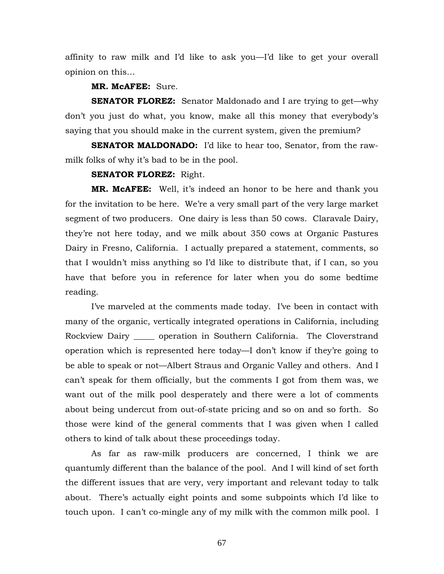affinity to raw milk and I'd like to ask you—I'd like to get your overall opinion on this…

## **MR. McAFEE:** Sure.

**SENATOR FLOREZ:** Senator Maldonado and I are trying to get—why don't you just do what, you know, make all this money that everybody's saying that you should make in the current system, given the premium?

**SENATOR MALDONADO:** I'd like to hear too, Senator, from the rawmilk folks of why it's bad to be in the pool.

## **SENATOR FLOREZ:** Right.

**MR. McAFEE:** Well, it's indeed an honor to be here and thank you for the invitation to be here. We're a very small part of the very large market segment of two producers. One dairy is less than 50 cows. Claravale Dairy, they're not here today, and we milk about 350 cows at Organic Pastures Dairy in Fresno, California. I actually prepared a statement, comments, so that I wouldn't miss anything so I'd like to distribute that, if I can, so you have that before you in reference for later when you do some bedtime reading.

 I've marveled at the comments made today. I've been in contact with many of the organic, vertically integrated operations in California, including Rockview Dairy \_\_\_\_\_ operation in Southern California. The Cloverstrand operation which is represented here today—I don't know if they're going to be able to speak or not—Albert Straus and Organic Valley and others. And I can't speak for them officially, but the comments I got from them was, we want out of the milk pool desperately and there were a lot of comments about being undercut from out-of-state pricing and so on and so forth. So those were kind of the general comments that I was given when I called others to kind of talk about these proceedings today.

 As far as raw-milk producers are concerned, I think we are quantumly different than the balance of the pool. And I will kind of set forth the different issues that are very, very important and relevant today to talk about. There's actually eight points and some subpoints which I'd like to touch upon. I can't co-mingle any of my milk with the common milk pool. I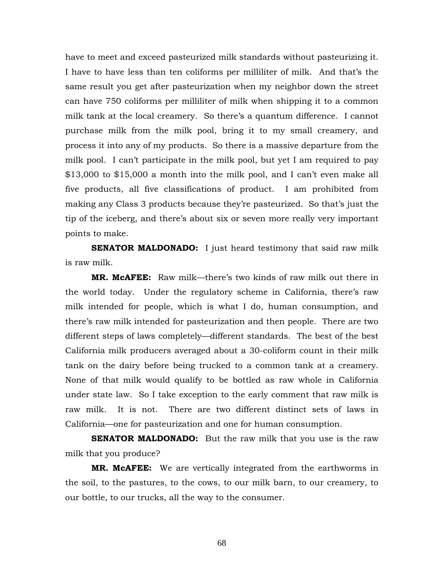have to meet and exceed pasteurized milk standards without pasteurizing it. I have to have less than ten coliforms per milliliter of milk. And that's the same result you get after pasteurization when my neighbor down the street can have 750 coliforms per milliliter of milk when shipping it to a common milk tank at the local creamery. So there's a quantum difference. I cannot purchase milk from the milk pool, bring it to my small creamery, and process it into any of my products. So there is a massive departure from the milk pool. I can't participate in the milk pool, but yet I am required to pay \$13,000 to \$15,000 a month into the milk pool, and I can't even make all five products, all five classifications of product. I am prohibited from making any Class 3 products because they're pasteurized. So that's just the tip of the iceberg, and there's about six or seven more really very important points to make.

**SENATOR MALDONADO:** I just heard testimony that said raw milk is raw milk.

**MR. McAFEE:** Raw milk—there's two kinds of raw milk out there in the world today. Under the regulatory scheme in California, there's raw milk intended for people, which is what I do, human consumption, and there's raw milk intended for pasteurization and then people. There are two different steps of laws completely—different standards. The best of the best California milk producers averaged about a 30-coliform count in their milk tank on the dairy before being trucked to a common tank at a creamery. None of that milk would qualify to be bottled as raw whole in California under state law. So I take exception to the early comment that raw milk is raw milk. It is not. There are two different distinct sets of laws in California—one for pasteurization and one for human consumption.

**SENATOR MALDONADO:** But the raw milk that you use is the raw milk that you produce?

**MR. McAFEE:** We are vertically integrated from the earthworms in the soil, to the pastures, to the cows, to our milk barn, to our creamery, to our bottle, to our trucks, all the way to the consumer.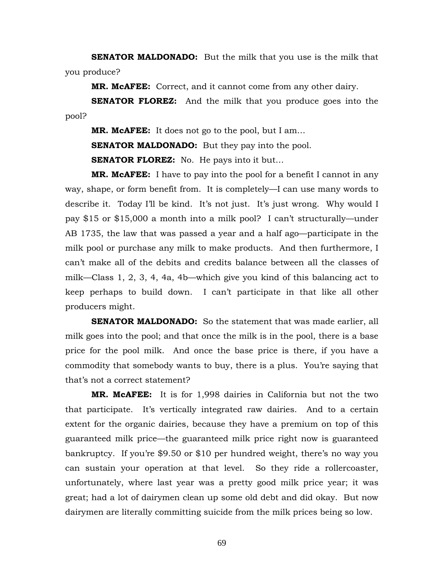**SENATOR MALDONADO:** But the milk that you use is the milk that you produce?

**MR. McAFEE:** Correct, and it cannot come from any other dairy.

**SENATOR FLOREZ:** And the milk that you produce goes into the pool?

**MR. McAFEE:** It does not go to the pool, but I am…

**SENATOR MALDONADO:** But they pay into the pool.

**SENATOR FLOREZ:** No. He pays into it but...

**MR. McAFEE:** I have to pay into the pool for a benefit I cannot in any way, shape, or form benefit from. It is completely—I can use many words to describe it. Today I'll be kind. It's not just. It's just wrong. Why would I pay \$15 or \$15,000 a month into a milk pool? I can't structurally—under AB 1735, the law that was passed a year and a half ago—participate in the milk pool or purchase any milk to make products. And then furthermore, I can't make all of the debits and credits balance between all the classes of milk—Class 1, 2, 3, 4, 4a, 4b—which give you kind of this balancing act to keep perhaps to build down. I can't participate in that like all other producers might.

**SENATOR MALDONADO:** So the statement that was made earlier, all milk goes into the pool; and that once the milk is in the pool, there is a base price for the pool milk. And once the base price is there, if you have a commodity that somebody wants to buy, there is a plus. You're saying that that's not a correct statement?

**MR. McAFEE:** It is for 1,998 dairies in California but not the two that participate. It's vertically integrated raw dairies. And to a certain extent for the organic dairies, because they have a premium on top of this guaranteed milk price—the guaranteed milk price right now is guaranteed bankruptcy. If you're \$9.50 or \$10 per hundred weight, there's no way you can sustain your operation at that level. So they ride a rollercoaster, unfortunately, where last year was a pretty good milk price year; it was great; had a lot of dairymen clean up some old debt and did okay. But now dairymen are literally committing suicide from the milk prices being so low.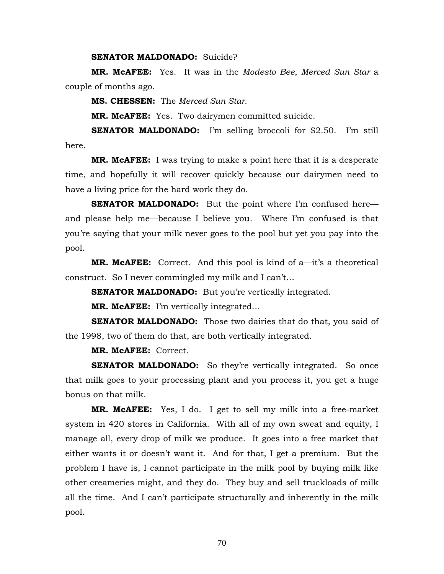#### **SENATOR MALDONADO:** Suicide?

**MR. McAFEE:** Yes. It was in the *Modesto Bee*, *Merced Sun Star* a couple of months ago.

**MS. CHESSEN:** The *Merced Sun Star*.

**MR. McAFEE:** Yes. Two dairymen committed suicide.

**SENATOR MALDONADO:** I'm selling broccoli for \$2.50. I'm still here.

**MR. McAFEE:** I was trying to make a point here that it is a desperate time, and hopefully it will recover quickly because our dairymen need to have a living price for the hard work they do.

**SENATOR MALDONADO:** But the point where I'm confused here and please help me—because I believe you. Where I'm confused is that you're saying that your milk never goes to the pool but yet you pay into the pool.

**MR. McAFEE:** Correct. And this pool is kind of a—it's a theoretical construct. So I never commingled my milk and I can't…

**SENATOR MALDONADO:** But you're vertically integrated.

**MR. McAFEE:** I'm vertically integrated…

**SENATOR MALDONADO:** Those two dairies that do that, you said of the 1998, two of them do that, are both vertically integrated.

**MR. McAFEE:** Correct.

**SENATOR MALDONADO:** So they're vertically integrated. So once that milk goes to your processing plant and you process it, you get a huge bonus on that milk.

**MR. McAFEE:** Yes, I do. I get to sell my milk into a free-market system in 420 stores in California. With all of my own sweat and equity, I manage all, every drop of milk we produce. It goes into a free market that either wants it or doesn't want it. And for that, I get a premium. But the problem I have is, I cannot participate in the milk pool by buying milk like other creameries might, and they do. They buy and sell truckloads of milk all the time. And I can't participate structurally and inherently in the milk pool.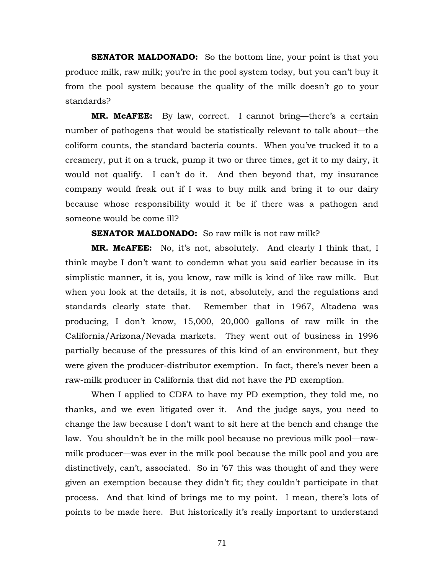**SENATOR MALDONADO:** So the bottom line, your point is that you produce milk, raw milk; you're in the pool system today, but you can't buy it from the pool system because the quality of the milk doesn't go to your standards?

**MR. McAFEE:** By law, correct. I cannot bring—there's a certain number of pathogens that would be statistically relevant to talk about—the coliform counts, the standard bacteria counts. When you've trucked it to a creamery, put it on a truck, pump it two or three times, get it to my dairy, it would not qualify. I can't do it. And then beyond that, my insurance company would freak out if I was to buy milk and bring it to our dairy because whose responsibility would it be if there was a pathogen and someone would be come ill?

# **SENATOR MALDONADO:** So raw milk is not raw milk?

**MR. McAFEE:** No, it's not, absolutely. And clearly I think that, I think maybe I don't want to condemn what you said earlier because in its simplistic manner, it is, you know, raw milk is kind of like raw milk. But when you look at the details, it is not, absolutely, and the regulations and standards clearly state that. Remember that in 1967, Altadena was producing, I don't know, 15,000, 20,000 gallons of raw milk in the California/Arizona/Nevada markets. They went out of business in 1996 partially because of the pressures of this kind of an environment, but they were given the producer-distributor exemption. In fact, there's never been a raw-milk producer in California that did not have the PD exemption.

 When I applied to CDFA to have my PD exemption, they told me, no thanks, and we even litigated over it. And the judge says, you need to change the law because I don't want to sit here at the bench and change the law. You shouldn't be in the milk pool because no previous milk pool—rawmilk producer—was ever in the milk pool because the milk pool and you are distinctively, can't, associated. So in '67 this was thought of and they were given an exemption because they didn't fit; they couldn't participate in that process. And that kind of brings me to my point. I mean, there's lots of points to be made here. But historically it's really important to understand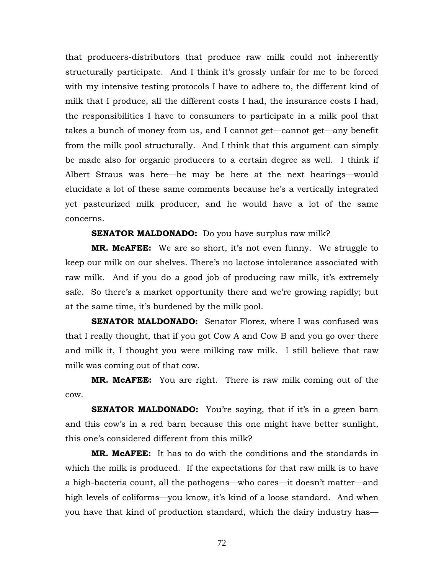that producers-distributors that produce raw milk could not inherently structurally participate. And I think it's grossly unfair for me to be forced with my intensive testing protocols I have to adhere to, the different kind of milk that I produce, all the different costs I had, the insurance costs I had, the responsibilities I have to consumers to participate in a milk pool that takes a bunch of money from us, and I cannot get—cannot get—any benefit from the milk pool structurally. And I think that this argument can simply be made also for organic producers to a certain degree as well. I think if Albert Straus was here—he may be here at the next hearings—would elucidate a lot of these same comments because he's a vertically integrated yet pasteurized milk producer, and he would have a lot of the same concerns.

**SENATOR MALDONADO:** Do you have surplus raw milk?

**MR. McAFEE:** We are so short, it's not even funny. We struggle to keep our milk on our shelves. There's no lactose intolerance associated with raw milk. And if you do a good job of producing raw milk, it's extremely safe. So there's a market opportunity there and we're growing rapidly; but at the same time, it's burdened by the milk pool.

**SENATOR MALDONADO:** Senator Florez, where I was confused was that I really thought, that if you got Cow A and Cow B and you go over there and milk it, I thought you were milking raw milk. I still believe that raw milk was coming out of that cow.

**MR. McAFEE:** You are right. There is raw milk coming out of the cow.

**SENATOR MALDONADO:** You're saying, that if it's in a green barn and this cow's in a red barn because this one might have better sunlight, this one's considered different from this milk?

**MR. McAFEE:** It has to do with the conditions and the standards in which the milk is produced. If the expectations for that raw milk is to have a high-bacteria count, all the pathogens—who cares—it doesn't matter—and high levels of coliforms—you know, it's kind of a loose standard. And when you have that kind of production standard, which the dairy industry has—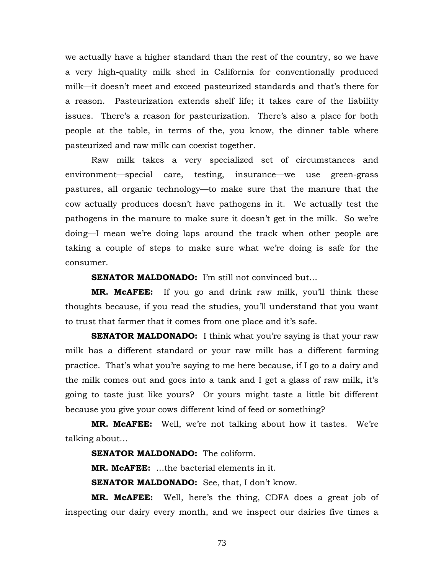we actually have a higher standard than the rest of the country, so we have a very high-quality milk shed in California for conventionally produced milk—it doesn't meet and exceed pasteurized standards and that's there for a reason. Pasteurization extends shelf life; it takes care of the liability issues. There's a reason for pasteurization. There's also a place for both people at the table, in terms of the, you know, the dinner table where pasteurized and raw milk can coexist together.

 Raw milk takes a very specialized set of circumstances and environment—special care, testing, insurance—we use green-grass pastures, all organic technology—to make sure that the manure that the cow actually produces doesn't have pathogens in it. We actually test the pathogens in the manure to make sure it doesn't get in the milk. So we're doing—I mean we're doing laps around the track when other people are taking a couple of steps to make sure what we're doing is safe for the consumer.

**SENATOR MALDONADO:** I'm still not convinced but...

**MR. McAFEE:** If you go and drink raw milk, you'll think these thoughts because, if you read the studies, you'll understand that you want to trust that farmer that it comes from one place and it's safe.

**SENATOR MALDONADO:** I think what you're saying is that your raw milk has a different standard or your raw milk has a different farming practice. That's what you're saying to me here because, if I go to a dairy and the milk comes out and goes into a tank and I get a glass of raw milk, it's going to taste just like yours? Or yours might taste a little bit different because you give your cows different kind of feed or something?

**MR. McAFEE:** Well, we're not talking about how it tastes. We're talking about…

**SENATOR MALDONADO:** The coliform.

**MR. McAFEE:** …the bacterial elements in it.

**SENATOR MALDONADO:** See, that, I don't know.

**MR. McAFEE:** Well, here's the thing, CDFA does a great job of inspecting our dairy every month, and we inspect our dairies five times a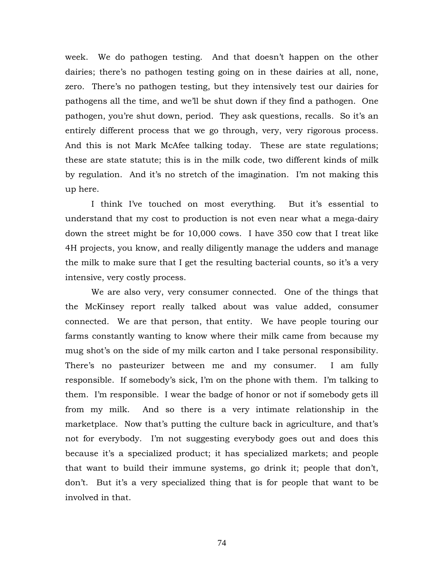week. We do pathogen testing. And that doesn't happen on the other dairies; there's no pathogen testing going on in these dairies at all, none, zero. There's no pathogen testing, but they intensively test our dairies for pathogens all the time, and we'll be shut down if they find a pathogen. One pathogen, you're shut down, period. They ask questions, recalls. So it's an entirely different process that we go through, very, very rigorous process. And this is not Mark McAfee talking today. These are state regulations; these are state statute; this is in the milk code, two different kinds of milk by regulation. And it's no stretch of the imagination. I'm not making this up here.

 I think I've touched on most everything. But it's essential to understand that my cost to production is not even near what a mega-dairy down the street might be for 10,000 cows. I have 350 cow that I treat like 4H projects, you know, and really diligently manage the udders and manage the milk to make sure that I get the resulting bacterial counts, so it's a very intensive, very costly process.

 We are also very, very consumer connected. One of the things that the McKinsey report really talked about was value added, consumer connected. We are that person, that entity. We have people touring our farms constantly wanting to know where their milk came from because my mug shot's on the side of my milk carton and I take personal responsibility. There's no pasteurizer between me and my consumer. I am fully responsible. If somebody's sick, I'm on the phone with them. I'm talking to them. I'm responsible. I wear the badge of honor or not if somebody gets ill from my milk. And so there is a very intimate relationship in the marketplace. Now that's putting the culture back in agriculture, and that's not for everybody. I'm not suggesting everybody goes out and does this because it's a specialized product; it has specialized markets; and people that want to build their immune systems, go drink it; people that don't, don't. But it's a very specialized thing that is for people that want to be involved in that.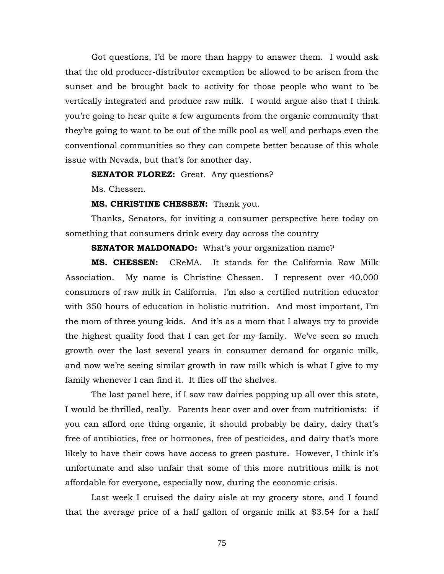Got questions, I'd be more than happy to answer them. I would ask that the old producer-distributor exemption be allowed to be arisen from the sunset and be brought back to activity for those people who want to be vertically integrated and produce raw milk. I would argue also that I think you're going to hear quite a few arguments from the organic community that they're going to want to be out of the milk pool as well and perhaps even the conventional communities so they can compete better because of this whole issue with Nevada, but that's for another day.

## **SENATOR FLOREZ:** Great. Any questions?

Ms. Chessen.

## **MS. CHRISTINE CHESSEN:** Thank you.

 Thanks, Senators, for inviting a consumer perspective here today on something that consumers drink every day across the country

**SENATOR MALDONADO:** What's your organization name?

**MS. CHESSEN:** CReMA. It stands for the California Raw Milk Association. My name is Christine Chessen. I represent over 40,000 consumers of raw milk in California. I'm also a certified nutrition educator with 350 hours of education in holistic nutrition. And most important, I'm the mom of three young kids. And it's as a mom that I always try to provide the highest quality food that I can get for my family. We've seen so much growth over the last several years in consumer demand for organic milk, and now we're seeing similar growth in raw milk which is what I give to my family whenever I can find it. It flies off the shelves.

 The last panel here, if I saw raw dairies popping up all over this state, I would be thrilled, really. Parents hear over and over from nutritionists: if you can afford one thing organic, it should probably be dairy, dairy that's free of antibiotics, free or hormones, free of pesticides, and dairy that's more likely to have their cows have access to green pasture. However, I think it's unfortunate and also unfair that some of this more nutritious milk is not affordable for everyone, especially now, during the economic crisis.

 Last week I cruised the dairy aisle at my grocery store, and I found that the average price of a half gallon of organic milk at \$3.54 for a half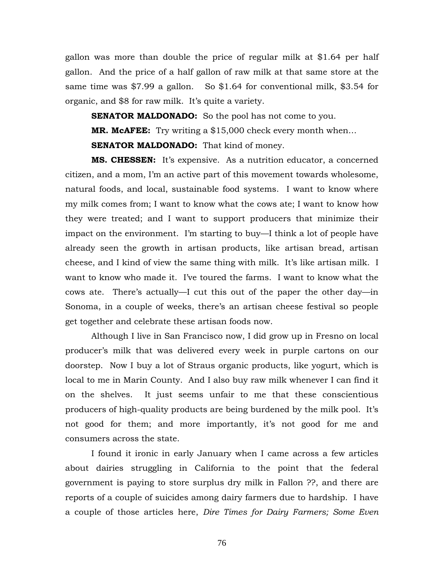gallon was more than double the price of regular milk at \$1.64 per half gallon. And the price of a half gallon of raw milk at that same store at the same time was \$7.99 a gallon. So \$1.64 for conventional milk, \$3.54 for organic, and \$8 for raw milk. It's quite a variety.

**SENATOR MALDONADO:** So the pool has not come to you. **MR. McAFEE:** Try writing a \$15,000 check every month when… **SENATOR MALDONADO:** That kind of money.

**MS. CHESSEN:** It's expensive. As a nutrition educator, a concerned citizen, and a mom, I'm an active part of this movement towards wholesome, natural foods, and local, sustainable food systems. I want to know where my milk comes from; I want to know what the cows ate; I want to know how they were treated; and I want to support producers that minimize their impact on the environment. I'm starting to buy—I think a lot of people have already seen the growth in artisan products, like artisan bread, artisan cheese, and I kind of view the same thing with milk. It's like artisan milk. I want to know who made it. I've toured the farms. I want to know what the cows ate. There's actually—I cut this out of the paper the other day—in Sonoma, in a couple of weeks, there's an artisan cheese festival so people get together and celebrate these artisan foods now.

 Although I live in San Francisco now, I did grow up in Fresno on local producer's milk that was delivered every week in purple cartons on our doorstep. Now I buy a lot of Straus organic products, like yogurt, which is local to me in Marin County. And I also buy raw milk whenever I can find it on the shelves. It just seems unfair to me that these conscientious producers of high-quality products are being burdened by the milk pool. It's not good for them; and more importantly, it's not good for me and consumers across the state.

 I found it ironic in early January when I came across a few articles about dairies struggling in California to the point that the federal government is paying to store surplus dry milk in Fallon ??, and there are reports of a couple of suicides among dairy farmers due to hardship. I have a couple of those articles here, *Dire Times for Dairy Farmers; Some Even*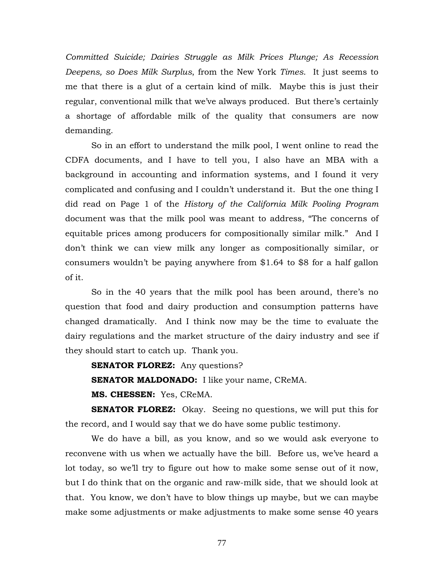*Committed Suicide; Dairies Struggle as Milk Prices Plunge; As Recession Deepens, so Does Milk Surplus*, from the New York *Times*. It just seems to me that there is a glut of a certain kind of milk. Maybe this is just their regular, conventional milk that we've always produced. But there's certainly a shortage of affordable milk of the quality that consumers are now demanding.

 So in an effort to understand the milk pool, I went online to read the CDFA documents, and I have to tell you, I also have an MBA with a background in accounting and information systems, and I found it very complicated and confusing and I couldn't understand it. But the one thing I did read on Page 1 of the *History of the California Milk Pooling Program* document was that the milk pool was meant to address, "The concerns of equitable prices among producers for compositionally similar milk." And I don't think we can view milk any longer as compositionally similar, or consumers wouldn't be paying anywhere from \$1.64 to \$8 for a half gallon of it.

 So in the 40 years that the milk pool has been around, there's no question that food and dairy production and consumption patterns have changed dramatically. And I think now may be the time to evaluate the dairy regulations and the market structure of the dairy industry and see if they should start to catch up. Thank you.

**SENATOR FLOREZ:** Any questions? **SENATOR MALDONADO:** I like your name, CReMA.

**MS. CHESSEN:** Yes, CReMA.

**SENATOR FLOREZ:** Okay. Seeing no questions, we will put this for the record, and I would say that we do have some public testimony.

 We do have a bill, as you know, and so we would ask everyone to reconvene with us when we actually have the bill. Before us, we've heard a lot today, so we'll try to figure out how to make some sense out of it now, but I do think that on the organic and raw-milk side, that we should look at that. You know, we don't have to blow things up maybe, but we can maybe make some adjustments or make adjustments to make some sense 40 years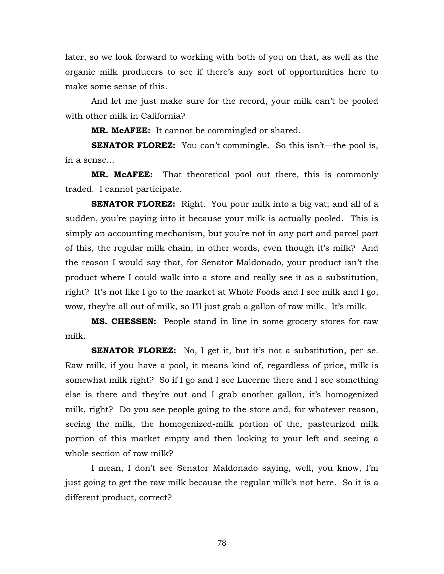later, so we look forward to working with both of you on that, as well as the organic milk producers to see if there's any sort of opportunities here to make some sense of this.

 And let me just make sure for the record, your milk can't be pooled with other milk in California?

**MR. McAFEE:** It cannot be commingled or shared.

**SENATOR FLOREZ:** You can't commingle. So this isn't—the pool is, in a sense…

**MR. McAFEE:** That theoretical pool out there, this is commonly traded. I cannot participate.

**SENATOR FLOREZ:** Right. You pour milk into a big vat; and all of a sudden, you're paying into it because your milk is actually pooled. This is simply an accounting mechanism, but you're not in any part and parcel part of this, the regular milk chain, in other words, even though it's milk? And the reason I would say that, for Senator Maldonado, your product isn't the product where I could walk into a store and really see it as a substitution, right? It's not like I go to the market at Whole Foods and I see milk and I go, wow, they're all out of milk, so I'll just grab a gallon of raw milk. It's milk.

**MS. CHESSEN:** People stand in line in some grocery stores for raw milk.

**SENATOR FLOREZ:** No, I get it, but it's not a substitution, per se. Raw milk, if you have a pool, it means kind of, regardless of price, milk is somewhat milk right? So if I go and I see Lucerne there and I see something else is there and they're out and I grab another gallon, it's homogenized milk, right? Do you see people going to the store and, for whatever reason, seeing the milk, the homogenized-milk portion of the, pasteurized milk portion of this market empty and then looking to your left and seeing a whole section of raw milk?

 I mean, I don't see Senator Maldonado saying, well, you know, I'm just going to get the raw milk because the regular milk's not here. So it is a different product, correct?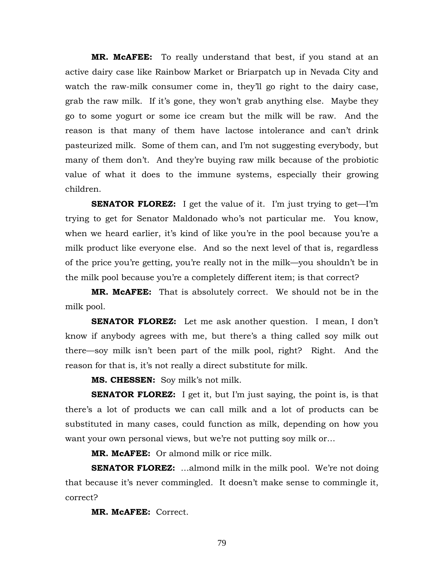**MR. McAFEE:** To really understand that best, if you stand at an active dairy case like Rainbow Market or Briarpatch up in Nevada City and watch the raw-milk consumer come in, they'll go right to the dairy case, grab the raw milk. If it's gone, they won't grab anything else. Maybe they go to some yogurt or some ice cream but the milk will be raw. And the reason is that many of them have lactose intolerance and can't drink pasteurized milk. Some of them can, and I'm not suggesting everybody, but many of them don't. And they're buying raw milk because of the probiotic value of what it does to the immune systems, especially their growing children.

**SENATOR FLOREZ:** I get the value of it. I'm just trying to get—I'm trying to get for Senator Maldonado who's not particular me. You know, when we heard earlier, it's kind of like you're in the pool because you're a milk product like everyone else. And so the next level of that is, regardless of the price you're getting, you're really not in the milk—you shouldn't be in the milk pool because you're a completely different item; is that correct?

**MR. McAFEE:** That is absolutely correct. We should not be in the milk pool.

**SENATOR FLOREZ:** Let me ask another question. I mean, I don't know if anybody agrees with me, but there's a thing called soy milk out there—soy milk isn't been part of the milk pool, right? Right. And the reason for that is, it's not really a direct substitute for milk.

**MS. CHESSEN:** Soy milk's not milk.

**SENATOR FLOREZ:** I get it, but I'm just saying, the point is, is that there's a lot of products we can call milk and a lot of products can be substituted in many cases, could function as milk, depending on how you want your own personal views, but we're not putting soy milk or…

**MR. McAFEE:** Or almond milk or rice milk.

**SENATOR FLOREZ:** ...almond milk in the milk pool. We're not doing that because it's never commingled. It doesn't make sense to commingle it, correct?

**MR. McAFEE:** Correct.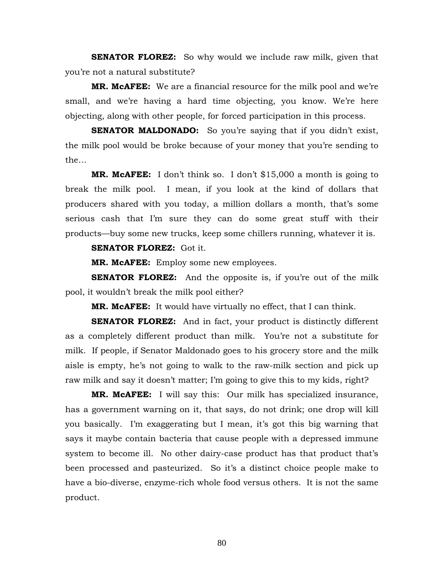**SENATOR FLOREZ:** So why would we include raw milk, given that you're not a natural substitute?

**MR. McAFEE:** We are a financial resource for the milk pool and we're small, and we're having a hard time objecting, you know. We're here objecting, along with other people, for forced participation in this process.

**SENATOR MALDONADO:** So you're saying that if you didn't exist, the milk pool would be broke because of your money that you're sending to the…

**MR. McAFEE:** I don't think so. I don't \$15,000 a month is going to break the milk pool. I mean, if you look at the kind of dollars that producers shared with you today, a million dollars a month, that's some serious cash that I'm sure they can do some great stuff with their products—buy some new trucks, keep some chillers running, whatever it is.

## **SENATOR FLOREZ:** Got it.

**MR. McAFEE:** Employ some new employees.

**SENATOR FLOREZ:** And the opposite is, if you're out of the milk pool, it wouldn't break the milk pool either?

**MR. McAFEE:** It would have virtually no effect, that I can think.

**SENATOR FLOREZ:** And in fact, your product is distinctly different as a completely different product than milk. You're not a substitute for milk. If people, if Senator Maldonado goes to his grocery store and the milk aisle is empty, he's not going to walk to the raw-milk section and pick up raw milk and say it doesn't matter; I'm going to give this to my kids, right?

**MR. McAFEE:** I will say this: Our milk has specialized insurance, has a government warning on it, that says, do not drink; one drop will kill you basically. I'm exaggerating but I mean, it's got this big warning that says it maybe contain bacteria that cause people with a depressed immune system to become ill. No other dairy-case product has that product that's been processed and pasteurized. So it's a distinct choice people make to have a bio-diverse, enzyme-rich whole food versus others. It is not the same product.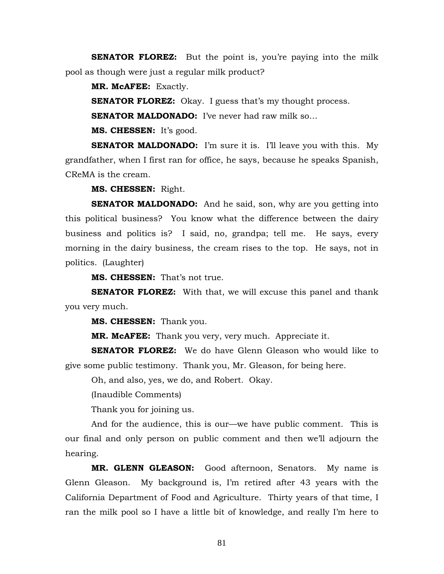**SENATOR FLOREZ:** But the point is, you're paying into the milk pool as though were just a regular milk product?

**MR. McAFEE:** Exactly.

**SENATOR FLOREZ:** Okay. I guess that's my thought process.

**SENATOR MALDONADO:** I've never had raw milk so…

**MS. CHESSEN:** It's good.

**SENATOR MALDONADO:** I'm sure it is. I'll leave you with this. My grandfather, when I first ran for office, he says, because he speaks Spanish, CReMA is the cream.

**MS. CHESSEN:** Right.

**SENATOR MALDONADO:** And he said, son, why are you getting into this political business? You know what the difference between the dairy business and politics is? I said, no, grandpa; tell me. He says, every morning in the dairy business, the cream rises to the top. He says, not in politics. (Laughter)

**MS. CHESSEN:** That's not true.

**SENATOR FLOREZ:** With that, we will excuse this panel and thank you very much.

**MS. CHESSEN:** Thank you.

**MR. McAFEE:** Thank you very, very much. Appreciate it.

**SENATOR FLOREZ:** We do have Glenn Gleason who would like to give some public testimony. Thank you, Mr. Gleason, for being here.

Oh, and also, yes, we do, and Robert. Okay.

(Inaudible Comments)

Thank you for joining us.

 And for the audience, this is our—we have public comment. This is our final and only person on public comment and then we'll adjourn the hearing.

**MR. GLENN GLEASON:** Good afternoon, Senators. My name is Glenn Gleason. My background is, I'm retired after 43 years with the California Department of Food and Agriculture. Thirty years of that time, I ran the milk pool so I have a little bit of knowledge, and really I'm here to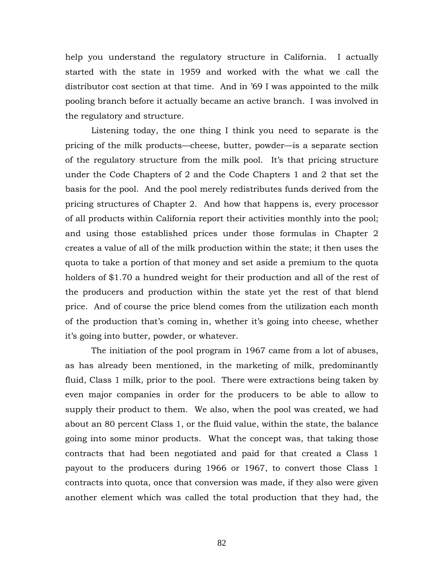help you understand the regulatory structure in California. I actually started with the state in 1959 and worked with the what we call the distributor cost section at that time. And in '69 I was appointed to the milk pooling branch before it actually became an active branch. I was involved in the regulatory and structure.

 Listening today, the one thing I think you need to separate is the pricing of the milk products—cheese, butter, powder—is a separate section of the regulatory structure from the milk pool. It's that pricing structure under the Code Chapters of 2 and the Code Chapters 1 and 2 that set the basis for the pool. And the pool merely redistributes funds derived from the pricing structures of Chapter 2. And how that happens is, every processor of all products within California report their activities monthly into the pool; and using those established prices under those formulas in Chapter 2 creates a value of all of the milk production within the state; it then uses the quota to take a portion of that money and set aside a premium to the quota holders of \$1.70 a hundred weight for their production and all of the rest of the producers and production within the state yet the rest of that blend price. And of course the price blend comes from the utilization each month of the production that's coming in, whether it's going into cheese, whether it's going into butter, powder, or whatever.

 The initiation of the pool program in 1967 came from a lot of abuses, as has already been mentioned, in the marketing of milk, predominantly fluid, Class 1 milk, prior to the pool. There were extractions being taken by even major companies in order for the producers to be able to allow to supply their product to them. We also, when the pool was created, we had about an 80 percent Class 1, or the fluid value, within the state, the balance going into some minor products. What the concept was, that taking those contracts that had been negotiated and paid for that created a Class 1 payout to the producers during 1966 or 1967, to convert those Class 1 contracts into quota, once that conversion was made, if they also were given another element which was called the total production that they had, the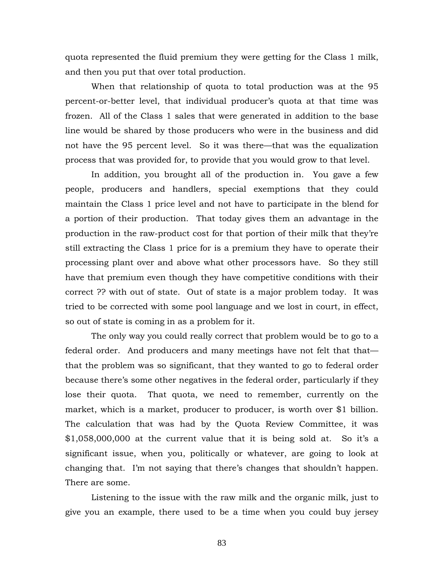quota represented the fluid premium they were getting for the Class 1 milk, and then you put that over total production.

 When that relationship of quota to total production was at the 95 percent-or-better level, that individual producer's quota at that time was frozen. All of the Class 1 sales that were generated in addition to the base line would be shared by those producers who were in the business and did not have the 95 percent level. So it was there—that was the equalization process that was provided for, to provide that you would grow to that level.

 In addition, you brought all of the production in. You gave a few people, producers and handlers, special exemptions that they could maintain the Class 1 price level and not have to participate in the blend for a portion of their production. That today gives them an advantage in the production in the raw-product cost for that portion of their milk that they're still extracting the Class 1 price for is a premium they have to operate their processing plant over and above what other processors have. So they still have that premium even though they have competitive conditions with their correct ?? with out of state. Out of state is a major problem today. It was tried to be corrected with some pool language and we lost in court, in effect, so out of state is coming in as a problem for it.

 The only way you could really correct that problem would be to go to a federal order. And producers and many meetings have not felt that that that the problem was so significant, that they wanted to go to federal order because there's some other negatives in the federal order, particularly if they lose their quota. That quota, we need to remember, currently on the market, which is a market, producer to producer, is worth over \$1 billion. The calculation that was had by the Quota Review Committee, it was \$1,058,000,000 at the current value that it is being sold at. So it's a significant issue, when you, politically or whatever, are going to look at changing that. I'm not saying that there's changes that shouldn't happen. There are some.

 Listening to the issue with the raw milk and the organic milk, just to give you an example, there used to be a time when you could buy jersey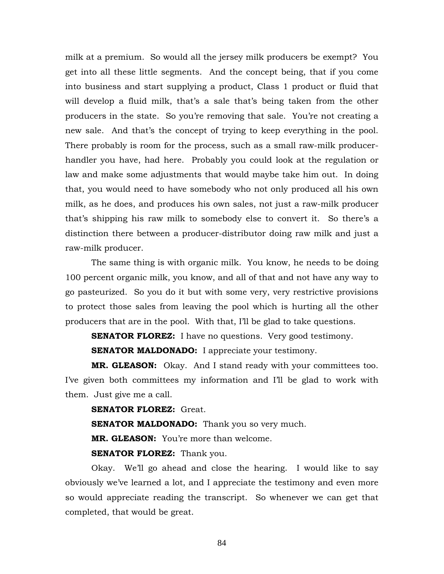milk at a premium. So would all the jersey milk producers be exempt? You get into all these little segments. And the concept being, that if you come into business and start supplying a product, Class 1 product or fluid that will develop a fluid milk, that's a sale that's being taken from the other producers in the state. So you're removing that sale. You're not creating a new sale. And that's the concept of trying to keep everything in the pool. There probably is room for the process, such as a small raw-milk producerhandler you have, had here. Probably you could look at the regulation or law and make some adjustments that would maybe take him out. In doing that, you would need to have somebody who not only produced all his own milk, as he does, and produces his own sales, not just a raw-milk producer that's shipping his raw milk to somebody else to convert it. So there's a distinction there between a producer-distributor doing raw milk and just a raw-milk producer.

 The same thing is with organic milk. You know, he needs to be doing 100 percent organic milk, you know, and all of that and not have any way to go pasteurized. So you do it but with some very, very restrictive provisions to protect those sales from leaving the pool which is hurting all the other producers that are in the pool. With that, I'll be glad to take questions.

**SENATOR FLOREZ:** I have no questions. Very good testimony.

**SENATOR MALDONADO:** I appreciate your testimony.

**MR. GLEASON:** Okay. And I stand ready with your committees too. I've given both committees my information and I'll be glad to work with them. Just give me a call.

## **SENATOR FLOREZ: Great.**

**SENATOR MALDONADO:** Thank you so very much.

**MR. GLEASON:** You're more than welcome.

**SENATOR FLOREZ:** Thank you.

Okay. We'll go ahead and close the hearing. I would like to say obviously we've learned a lot, and I appreciate the testimony and even more so would appreciate reading the transcript. So whenever we can get that completed, that would be great.